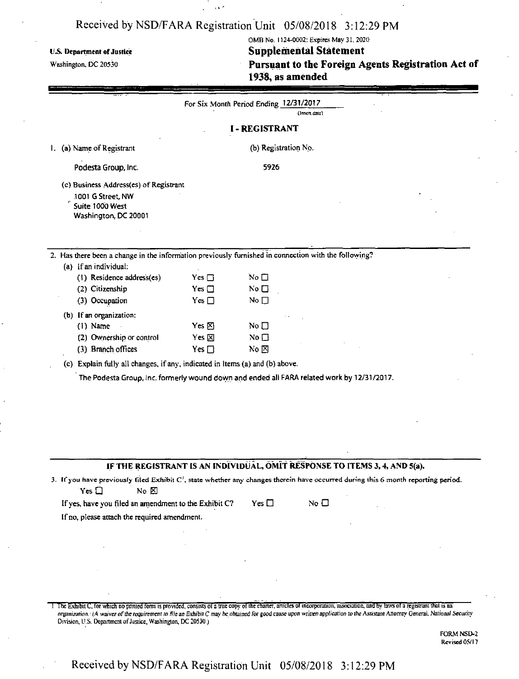-1  $\chi$  k  $^2$ 

| <b>U.S. Department of Justice</b><br>Washington, DC 20530                                                                                                               |                 | 1938, as amended                       | OMB No. 1124-0002; Expires May 31, 2020<br><b>Supplemental Statement</b> | Pursuant to the Foreign Agents Registration Act of |  |
|-------------------------------------------------------------------------------------------------------------------------------------------------------------------------|-----------------|----------------------------------------|--------------------------------------------------------------------------|----------------------------------------------------|--|
|                                                                                                                                                                         |                 | For Six Month Period Ending 12/31/2017 | (Insert date)                                                            |                                                    |  |
|                                                                                                                                                                         |                 | <b>I-REGISTRANT</b>                    |                                                                          |                                                    |  |
| (a) Name of Registrant<br>Ι.                                                                                                                                            |                 | (b) Registration No.                   |                                                                          |                                                    |  |
| Podesta Group, Inc.                                                                                                                                                     |                 | 5926                                   |                                                                          |                                                    |  |
| (c) Business Address(es) of Registrant<br>1001 G Street, NW<br>Suite 1000 West<br>Washington, DC 20001                                                                  |                 |                                        |                                                                          |                                                    |  |
| 2. Has there been a change in the information previously furnished in connection with the following?                                                                    |                 |                                        |                                                                          |                                                    |  |
| (a) If an individual:<br>(1) Residence address(es)                                                                                                                      | Yes $\square$   | No $\square$                           |                                                                          |                                                    |  |
| (2) Citizenship                                                                                                                                                         | Yes $\square$   | No $\square$                           |                                                                          |                                                    |  |
| (3) Occupation                                                                                                                                                          | Yes $\square$   | No $\square$                           |                                                                          |                                                    |  |
| (b) If an organization:                                                                                                                                                 |                 |                                        |                                                                          |                                                    |  |
| $(1)$ Name                                                                                                                                                              | Yes $\boxtimes$ | No $\square$                           |                                                                          |                                                    |  |
| (2) Ownership or control                                                                                                                                                | Yes $\boxtimes$ | $\rm No \ \square$                     |                                                                          |                                                    |  |
| (3) Branch offices                                                                                                                                                      | Yes $\Box$      | No $\boxtimes$                         |                                                                          |                                                    |  |
| (c) Explain fully all changes, if any, indicated in Items (a) and (b) above.                                                                                            |                 |                                        |                                                                          |                                                    |  |
| The Podesta Group, Inc. formerly wound down and ended all FARA related work by 12/31/2017.                                                                              |                 |                                        |                                                                          |                                                    |  |
| IF THE REGISTRANT IS AN INDIVIDUAL, OMIT RESPONSE TO ITEMS 3, 4, AND 5(a).                                                                                              |                 |                                        |                                                                          |                                                    |  |
| 3. If you have previously filed Exhibit $C^l$ , state whether any changes therein have occurred during this 6 month reporting period.<br>Yes $\square$<br>$N0$ $\Sigma$ |                 |                                        |                                                                          |                                                    |  |
| If yes, have you filed an amendment to the Exhibit C?                                                                                                                   |                 | Yes $\Box$                             | No $\square$                                                             |                                                    |  |
| If no, please attach the required amendment.                                                                                                                            |                 |                                        |                                                                          |                                                    |  |
|                                                                                                                                                                         |                 |                                        |                                                                          |                                                    |  |
|                                                                                                                                                                         |                 |                                        |                                                                          |                                                    |  |
|                                                                                                                                                                         |                 |                                        |                                                                          |                                                    |  |
|                                                                                                                                                                         |                 |                                        |                                                                          |                                                    |  |
|                                                                                                                                                                         |                 |                                        |                                                                          |                                                    |  |
|                                                                                                                                                                         |                 |                                        |                                                                          |                                                    |  |

The Exhibit C, for which no printed form is provided, consists of a true copy of the charter, articles of incorporation, association, and by laws of a registrant that is an organization.<sup>1</sup> (A waiver of the requirement to file an Exhibit C may be obtained for good cause upon written application to the Assistant Attorney General, National Security Division, U.S. Department of Justice, Washington, DC 20530.)

> FORM NSD-2 Revised 05/17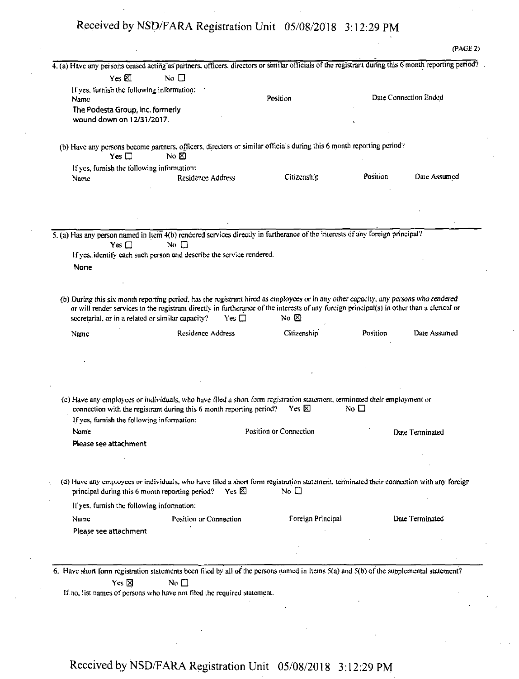|                                                               | 4. (a) Have any persons ceased acting as partners, officers, directors or similar officials of the registrant during this 6 month reporting period?                                                                                                                                                                                                   |                        |              |                       |
|---------------------------------------------------------------|-------------------------------------------------------------------------------------------------------------------------------------------------------------------------------------------------------------------------------------------------------------------------------------------------------------------------------------------------------|------------------------|--------------|-----------------------|
|                                                               |                                                                                                                                                                                                                                                                                                                                                       |                        |              |                       |
| Yes $\boxtimes$                                               | No $\Box$                                                                                                                                                                                                                                                                                                                                             |                        |              |                       |
| If yes, furnish the following information:<br>Name            |                                                                                                                                                                                                                                                                                                                                                       | Position               |              | Date Connection Ended |
| The Podesta Group, Inc. formerly<br>wound down on 12/31/2017. |                                                                                                                                                                                                                                                                                                                                                       |                        |              |                       |
| Yes $\Box$                                                    | (b) Have any persons become partners, officers, directors or similar officials during this 6 month reporting period?<br>No $\boxtimes$                                                                                                                                                                                                                |                        |              |                       |
| If yes, furnish the following information:                    |                                                                                                                                                                                                                                                                                                                                                       |                        |              |                       |
| Name                                                          | Residence Address                                                                                                                                                                                                                                                                                                                                     | Citizenship            | Position     | Date Assumed          |
|                                                               |                                                                                                                                                                                                                                                                                                                                                       |                        |              |                       |
|                                                               | 5. (a) Has any person named in Item 4(b) rendered services directly in furtherance of the interests of any foreign principal?                                                                                                                                                                                                                         |                        |              |                       |
| Yes $\Box$                                                    | No $\Box$                                                                                                                                                                                                                                                                                                                                             |                        |              |                       |
|                                                               | If yes, identify each such person and describe the service rendered.                                                                                                                                                                                                                                                                                  |                        |              |                       |
| None                                                          |                                                                                                                                                                                                                                                                                                                                                       |                        |              |                       |
|                                                               |                                                                                                                                                                                                                                                                                                                                                       |                        |              |                       |
|                                                               |                                                                                                                                                                                                                                                                                                                                                       |                        |              |                       |
|                                                               | (b) During this six month reporting period, has the registrant hired as employees or in any other capacity, any persons who rendered<br>or will render services to the registrant directly in furtherance of the interests of any foreign principal(s) in other than a clerical or<br>secretarial, or in a related or similar capacity?<br>Yes $\Box$ | No $\not\boxtimes$     |              |                       |
| Name                                                          | <b>Residence Address</b>                                                                                                                                                                                                                                                                                                                              | Citizenship            | Position     | Date Assumed          |
|                                                               |                                                                                                                                                                                                                                                                                                                                                       |                        |              |                       |
|                                                               |                                                                                                                                                                                                                                                                                                                                                       |                        |              |                       |
|                                                               |                                                                                                                                                                                                                                                                                                                                                       |                        |              |                       |
|                                                               |                                                                                                                                                                                                                                                                                                                                                       |                        |              |                       |
|                                                               |                                                                                                                                                                                                                                                                                                                                                       |                        |              |                       |
|                                                               | (c) Have any employees or individuals, who have filed a short form registration statement, terminated their employment or<br>connection with the registrant during this 6 month reporting period?                                                                                                                                                     | Yes <b>X</b>           | No $\square$ |                       |
| If yes, furnish the following information:                    |                                                                                                                                                                                                                                                                                                                                                       |                        |              |                       |
| Name                                                          |                                                                                                                                                                                                                                                                                                                                                       | Position or Connection |              | Date Terminated       |
| Please see attachment                                         |                                                                                                                                                                                                                                                                                                                                                       |                        |              |                       |
|                                                               |                                                                                                                                                                                                                                                                                                                                                       |                        |              |                       |
|                                                               |                                                                                                                                                                                                                                                                                                                                                       |                        |              |                       |
|                                                               | (d) Have any employees or individuals, who have filed a short form registration statement, terminated their connection with any foreign<br>Yes $\boxtimes$<br>principal during this 6 month reporting period?                                                                                                                                         | No $\square$           |              |                       |
| If yes, furnish the following information:                    |                                                                                                                                                                                                                                                                                                                                                       |                        |              |                       |
| Name                                                          | Position or Connection                                                                                                                                                                                                                                                                                                                                | Foreign Principal      |              | Date Terminated       |
|                                                               |                                                                                                                                                                                                                                                                                                                                                       |                        |              |                       |
| Please see attachment                                         |                                                                                                                                                                                                                                                                                                                                                       |                        |              |                       |
|                                                               |                                                                                                                                                                                                                                                                                                                                                       |                        |              |                       |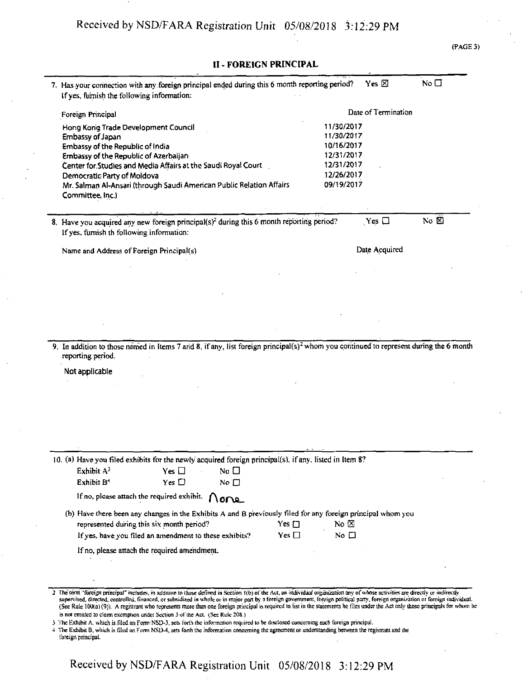#### (PAGE 3)

#### II - FOREIGN PRINCIPAL

| Foreign Principal<br>Hong Kong Trade Development Council<br>Embassy of Japan<br>Embassy of the Republic of India<br>Embassy of the Republic of Azerbaijan | 11/30/2017<br>11/30/2017       | Date of Termination |
|-----------------------------------------------------------------------------------------------------------------------------------------------------------|--------------------------------|---------------------|
|                                                                                                                                                           |                                |                     |
|                                                                                                                                                           |                                |                     |
|                                                                                                                                                           |                                |                     |
|                                                                                                                                                           | 10/16/2017                     |                     |
|                                                                                                                                                           | 12/31/2017                     |                     |
| Center for Studies and Media Affairs at the Saudi Royal Court                                                                                             | 12/31/2017                     |                     |
| Democratic Party of Moldova                                                                                                                               | 12/26/2017                     |                     |
| Mr. Salman Al-Ansari (through Saudi American Public Relation Affairs<br>Committee, Inc.)                                                                  | 09/19/2017                     |                     |
| 8. Have you acquired any new foreign principal(s) <sup>2</sup> during this 6 month reporting period?                                                      | Yes $\Box$                     | No $\boxtimes$      |
| If yes, furnish th following information:                                                                                                                 |                                |                     |
| Name and Address of Foreign Principal(s)                                                                                                                  | Date Acquired                  |                     |
|                                                                                                                                                           |                                |                     |
|                                                                                                                                                           |                                |                     |
|                                                                                                                                                           |                                |                     |
|                                                                                                                                                           |                                |                     |
|                                                                                                                                                           |                                |                     |
| Not applicable                                                                                                                                            |                                |                     |
|                                                                                                                                                           |                                |                     |
| 10. (a) Have you filed exhibits for the newly acquired foreign principal(s), if any, listed in Item 8?                                                    |                                |                     |
| Exhibit A <sup>3</sup><br>No $\square$<br>$Yes \Box$                                                                                                      |                                |                     |
| Exhibit B <sup>4</sup><br>Yes $\Box$<br>No $\square$                                                                                                      |                                |                     |
| If no, please attach the required exhibit.<br>None                                                                                                        |                                |                     |
|                                                                                                                                                           |                                |                     |
|                                                                                                                                                           |                                |                     |
| (b) Have there been any changes in the Exhibits A and B previously filed for any foreign principal whom you                                               |                                |                     |
| Yes $\square$<br>represented during this six month period?<br>Yes $\square$<br>If yes, have you filed an amendment to these exhibits?                     | No $\boxtimes$<br>No $\square$ |                     |
| If no, please attach the required amendment.                                                                                                              |                                |                     |
|                                                                                                                                                           |                                |                     |

is not entitled to claim exemption under Section 3 of the Act. (See Rule 208.)

3 The Exhibit A which is.filed on Form NSD-3. sets forth the information required to be disclosed concerning each foreign principal.

4 The Exhibit B, which is filed on Form NSD-4, sets forth the information concerning the agreement or understanding between the registrant und the foreign principal.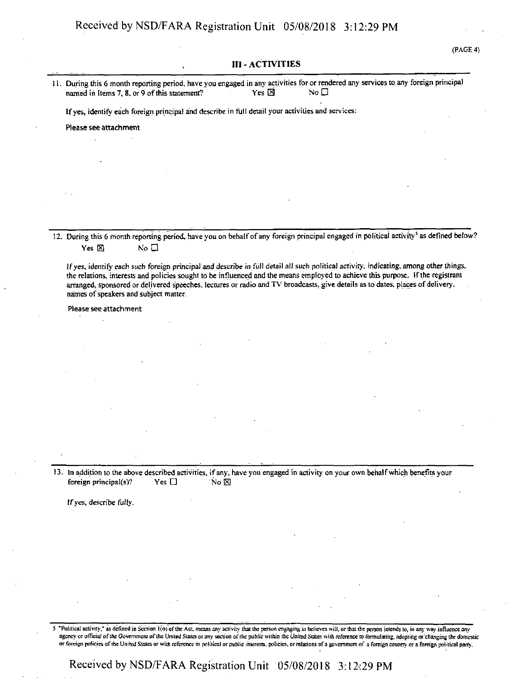# III - ACTIVITIES (PAGE 4} 11. During this 6 month reporting period, have you engaged in any activities for or rendered any servicesto any foreign principal named in Items 7, 8, or 9 of this statement? Yes  $\boxtimes$  Yes  $\boxtimes$  No  $\Box$ Ifyes, identify each foreign principal and describe in full detail your activities and services: Please see attachment 12. During this 6 month reporting period, have you on behalf of any foreign principal engaged in political activity<sup>5</sup> as defined below?  $Yes \boxtimes$  No  $\square$ Ifyes, identify each such foreign principal and describe in full detail all such political activity, indicating, among other things, the relations, interests and policies sought to be influenced and the means employed to achieve this purpose. Ifthe registrant arranged, sponsored or delivered speeches, lectures or radio and TV broadcasts, give details as to dates, places of delivery, names of speakers and subject matter. Please see attachment 13. In addition to the above described activities, if any, have you engaged in activity on your own behalfwhich benefits your foreign principal(s)? Yes  $\Box$  No  $\boxtimes$

Ifyes, describe fully.

"Political activity," as defined in Section 1(o) of the Act, means any activity that the person engaging in believes will, or that the person intends to, in any way influence any agency or official of the Government of the United States or any section of the public within the United States with reference to formulating, adopting or changing the domestic or foreign policies ofthe United Slates or with reference to political or public interests, policies, or relations ofa government of *a* foreign country or a foreign political party.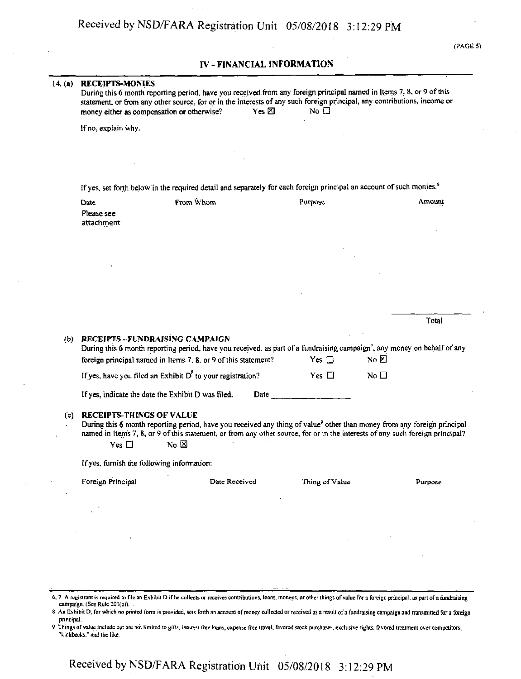(PAGE 5)

#### IV - FINANCIAL INFORMATION

|  | 14. (a) RECEIPTS-MONIES |  |
|--|-------------------------|--|
|  |                         |  |

14. (a) **RECEIPTS-MONIES**<br>During this 6 month reporting period, have you received from any foreign principal named in Items 7, 8, or 9 of this statement, or from any other source, for or in the interests of any such foreign principal, any contributions, income or money either as compensation or otherwise? Yes  $\boxtimes$  No  $\Box$ 

Ifno, explain why.

If yes, set forth below in the required detail and separately for each foreign principal an account of such monies.<sup>6</sup>

| Date       | From Whom | Purpose | Amount |
|------------|-----------|---------|--------|
| Please see |           |         |        |
| attachment |           |         |        |

|     |                                                                                                                                                                                                                                         |      |            |           | Total |
|-----|-----------------------------------------------------------------------------------------------------------------------------------------------------------------------------------------------------------------------------------------|------|------------|-----------|-------|
| (b) | RECEIPTS-FUNDRAISING CAMPAIGN<br>During this 6 month reporting period, have you received, as part of a fundraising campaign <sup>7</sup> , any money on behalf of any<br>foreign principal named in Items 7, 8, or 9 of this statement? |      | Yes $\Box$ | No ⊠      |       |
|     | If yes, have you filed an Exhibit $D^8$ to your registration?                                                                                                                                                                           |      | Yes $\Box$ | No $\Box$ |       |
|     | If yes, indicate the date the Exhibit D was filed.                                                                                                                                                                                      | Date |            |           |       |

#### (c) RECEIPTS-THINCS OF VALUE

During this 6 month reporting period, have you received any thing of value<sup>9</sup> other than money from any foreign principal named in Items 7, 8, or 9 of this statement, or from any other source, for or in the interests of any such foreign principal?  $Yes \Box$  No  $\boxtimes$ 

Ifyes, furnish the following information:

Foreign Principal Date Received Thing ofValue Purpose

- 6.7 A registrant is required to file an Exhibit D if he collects or receives contributions, loans, moneys, or other things of value for a foreign principal, as part of a fundraising campaign. (See Rule 201(e)).
- 8 An Exhibit D, for which no printed form is provided, sets forth an account of money collected or received as a result of a fundraising campaign and transmitted for a foreign principal.
- 9 Things of value include but are not limited to gifts, interest free loans, expense free travel, favored stock purchases, exclusive rights, favored treatment over competitors, "kickbacks.'' and the like.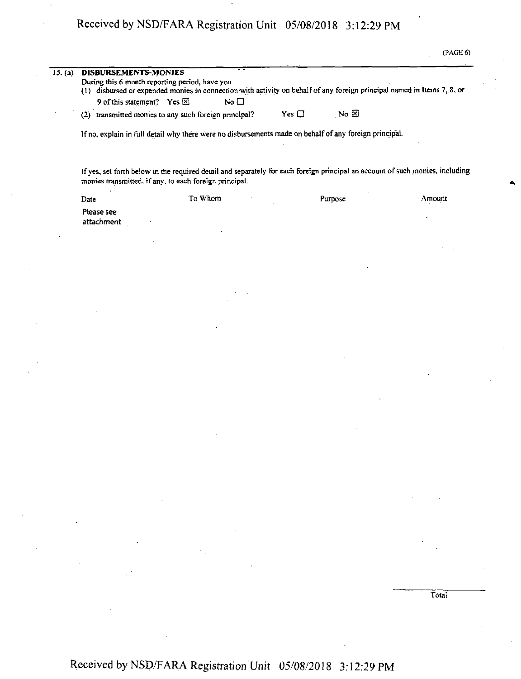|         | (PAGE 6)                                                                                                                                                                                                                                               |
|---------|--------------------------------------------------------------------------------------------------------------------------------------------------------------------------------------------------------------------------------------------------------|
| 15. (a) | DISBURSEMENTS-MONIES<br>During this 6 month reporting period, have you<br>(1) disbursed or expended monies in connection with activity on behalf of any foreign principal named in Items 7, 8, or<br>9 of this statement? Yes $\boxtimes$<br>No $\Box$ |
|         | No ⊠<br>Yes □<br>(2) transmitted monies to any such foreign principal?                                                                                                                                                                                 |
|         | If no, explain in full detail why there were no disbursements made on behalf of any foreign principal.                                                                                                                                                 |
|         | If yes, set forth below in the required detail and separately for each foreign principal an account of such monies, including<br>monies transmitted, if any, to each foreign principal.                                                                |

| Date       | To Whom | Purpose | Amount |
|------------|---------|---------|--------|
| Please see |         |         |        |
| attachment |         |         |        |

**Total**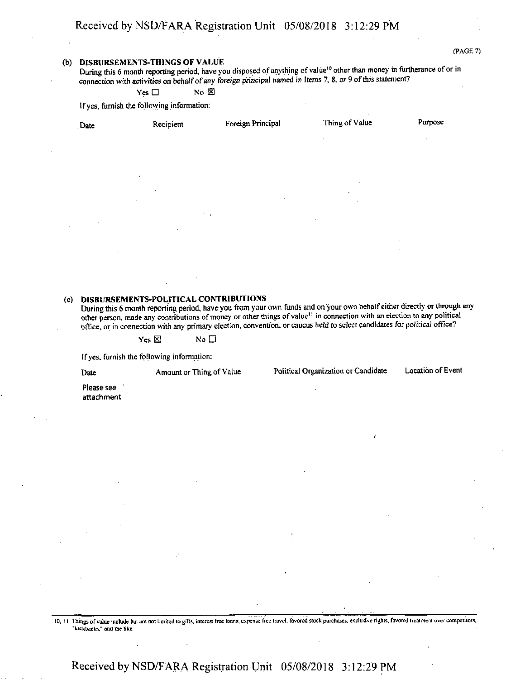#### $(PAGE 7)$

#### (b) DISBURSEMENTS-THINGS OF VALUE

During this 6 month reporting period, have you disposed of anything of value<sup>10</sup> other than money in furtherance of or in **connection with activities on behalfofany foreign principal named in Items 7, 8. or 9 ofthis statement?**

**Yes □** No **⊠** 

**Ifyes, furnish the following information:**

| Date              | Recipient     | Foreign Principal | Thing of Value     | Purpose |
|-------------------|---------------|-------------------|--------------------|---------|
|                   |               | $\sim$            | $\sim$<br>$\sim$   | $\cdot$ |
|                   | $\sim$        |                   |                    |         |
| $\cdot$           |               |                   | $\sim$             |         |
| $\cdot$           | $\epsilon$    | $\sim$            | $\cdot$<br>$\cdot$ |         |
| $\sim$            | $\sim$ $\sim$ |                   | $\sim 10^{-1}$     |         |
|                   | $\sim$        |                   | $\cdot$            |         |
| $\sim$<br>$\cdot$ |               |                   | $\mathbf{r}$       |         |
|                   |               |                   |                    |         |

#### (c) DISBURSEMENTS-POLITICAL CONTRIBUTIONS

During this 6 month reporting period, have you from your own funds and on your own behalf either directly or through any other person, made any contributions of money or other things of value<sup>11</sup> in connection with an election to any political office, or in connection with any primary election, convention, or caucus held to select candidates for political office?

 $Y$ es  $\boxtimes$  **No**  $\Box$ 

**Ifyes. furnish the following information:**

**Date Amount or Thing of Value Political Organization or Candidate Location of Event** Please see attachment

*t*

10. 11 Things of value include but are not limited to gifts, interest free loans; expense free travel, favored stock purchases, exclusive rights, favored treatment over competitors, 'kickbacks," and the tike.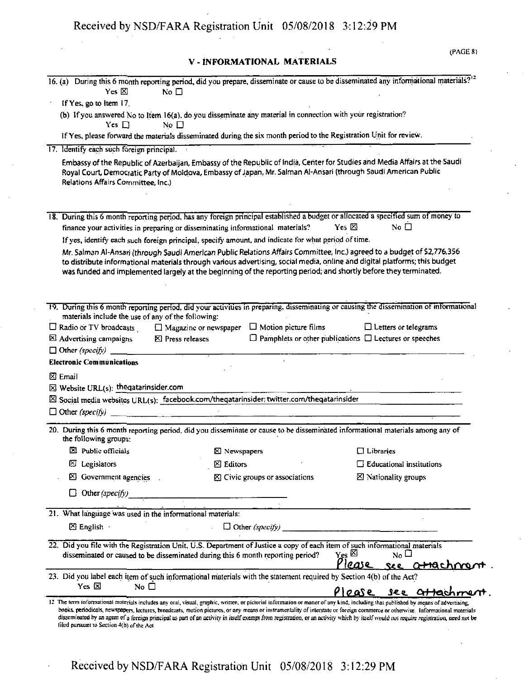## V - INFORMATIONAL MATERIALS

| Yes $\boxtimes$                                                                                                    |                                                                                                                                                                                                                                                                                                                                                                            | 16. (a) During this 6 month reporting period, did you prepare, disseminate or cause to be disseminated any informational materials? <sup>12</sup> |
|--------------------------------------------------------------------------------------------------------------------|----------------------------------------------------------------------------------------------------------------------------------------------------------------------------------------------------------------------------------------------------------------------------------------------------------------------------------------------------------------------------|---------------------------------------------------------------------------------------------------------------------------------------------------|
|                                                                                                                    | No $\Box$                                                                                                                                                                                                                                                                                                                                                                  |                                                                                                                                                   |
| If Yes, go to item 17.                                                                                             |                                                                                                                                                                                                                                                                                                                                                                            |                                                                                                                                                   |
| Yes $\Box$                                                                                                         | (b) If you answered No to Item 16(a), do you disseminate any material in connection with your registration?<br>No $\Box$                                                                                                                                                                                                                                                   |                                                                                                                                                   |
|                                                                                                                    | If Yes, please forward the materials disseminated during the six month period to the Registration Unit for review.                                                                                                                                                                                                                                                         |                                                                                                                                                   |
| 17. Identify each such foreign principal.                                                                          |                                                                                                                                                                                                                                                                                                                                                                            |                                                                                                                                                   |
| Relations Affairs Committee, Inc.)                                                                                 | Embassy of the Republic of Azerbaijan, Embassy of the Republic of India, Center for Studies and Media Affairs at the Saudi<br>Royal Court, Democratic Party of Moldova, Embassy of Japan, Mr. Salman Al-Ansari (through Saudi American Public                                                                                                                              |                                                                                                                                                   |
|                                                                                                                    | 18. During this 6 month reporting period, has any foreign principal established a budget or allocated a specified sum of money to                                                                                                                                                                                                                                          |                                                                                                                                                   |
|                                                                                                                    | finance your activities in preparing or disseminating informational materials?                                                                                                                                                                                                                                                                                             | No $\Box$<br>Yes $\boxtimes$                                                                                                                      |
|                                                                                                                    | If yes, identify each such foreign principal, specify amount, and indicate for what period of time.                                                                                                                                                                                                                                                                        |                                                                                                                                                   |
|                                                                                                                    | Mr. Salman Al-Ansari (through Saudi American Public Relations Affairs Committee, Inc.) agreed to a budget of \$2,776,356<br>to distribute informational materials through various advertising, social media, online and digital platforms; this budget<br>was funded and implemented largely at the beginning of the reporting period; and shortly before they terminated. |                                                                                                                                                   |
|                                                                                                                    | 19. During this 6 month reporting period, did your activities in preparing, disseminating or causing the dissemination of informational                                                                                                                                                                                                                                    |                                                                                                                                                   |
| materials include the use of any of the following:                                                                 |                                                                                                                                                                                                                                                                                                                                                                            |                                                                                                                                                   |
| $\Box$ Radio or TV broadcasts                                                                                      | $\Box$ Motion picture films<br>$\Box$ Magazine or newspaper                                                                                                                                                                                                                                                                                                                | $\Box$ Letters or telegrams                                                                                                                       |
| <b>El Advertising campaigns</b>                                                                                    | $\boxtimes$ Press releases                                                                                                                                                                                                                                                                                                                                                 | $\Box$ Pamphlets or other publications $\Box$ Lectures or speeches                                                                                |
| $\Box$ Other (specify)                                                                                             |                                                                                                                                                                                                                                                                                                                                                                            |                                                                                                                                                   |
| <b>Electronic Communications</b>                                                                                   |                                                                                                                                                                                                                                                                                                                                                                            |                                                                                                                                                   |
|                                                                                                                    |                                                                                                                                                                                                                                                                                                                                                                            |                                                                                                                                                   |
|                                                                                                                    |                                                                                                                                                                                                                                                                                                                                                                            |                                                                                                                                                   |
|                                                                                                                    |                                                                                                                                                                                                                                                                                                                                                                            |                                                                                                                                                   |
|                                                                                                                    | $\boxtimes$ Social media websites URL(s): facebook.com/theqatarinsider; twitter.com/theqatarinsider                                                                                                                                                                                                                                                                        |                                                                                                                                                   |
|                                                                                                                    |                                                                                                                                                                                                                                                                                                                                                                            |                                                                                                                                                   |
| the following groups:                                                                                              | 20. During this 6 month reporting period, did you disseminate or cause to be disseminated informational materials among any of                                                                                                                                                                                                                                             |                                                                                                                                                   |
| $\boxtimes$ Public officials                                                                                       | ⊠ Newspapers                                                                                                                                                                                                                                                                                                                                                               | $\Box$ Libraries                                                                                                                                  |
| $\boxtimes$ Legislators                                                                                            | $\boxtimes$ Editors                                                                                                                                                                                                                                                                                                                                                        | $\Box$ Educational institutions                                                                                                                   |
| Government agencies                                                                                                | ⊠ Civic groups or associations                                                                                                                                                                                                                                                                                                                                             | ⊠ Nationality groups                                                                                                                              |
| $\boxtimes$ Email<br>$\boxtimes$ Website URL(s): the qatarinsider.com<br>$\Box$ Other (specify)<br>Other (specify) |                                                                                                                                                                                                                                                                                                                                                                            |                                                                                                                                                   |
|                                                                                                                    |                                                                                                                                                                                                                                                                                                                                                                            |                                                                                                                                                   |
| 21. What language was used in the informational materials:                                                         |                                                                                                                                                                                                                                                                                                                                                                            |                                                                                                                                                   |
| $\boxtimes$ English                                                                                                |                                                                                                                                                                                                                                                                                                                                                                            |                                                                                                                                                   |
|                                                                                                                    | 22. Did you file with the Registration Unit, U.S. Department of Justice a copy of each item of such informational materials<br>disseminated or caused to be disseminated during this 6 month reporting period?                                                                                                                                                             | $Y_{\rm CS}$ $\boxtimes$<br>$N_0 \square$                                                                                                         |
| Yes $\boxtimes$<br>No $\square$                                                                                    | 23. Did you label each item of such informational materials with the statement required by Section 4(b) of the Act?                                                                                                                                                                                                                                                        | Please<br>see attachme                                                                                                                            |
|                                                                                                                    | 12 The term informational materials includes any oral, visual, graphic, written, or pictorial information or matter of any kind, including that published by means of advertising,                                                                                                                                                                                         | Please<br>see attachment.                                                                                                                         |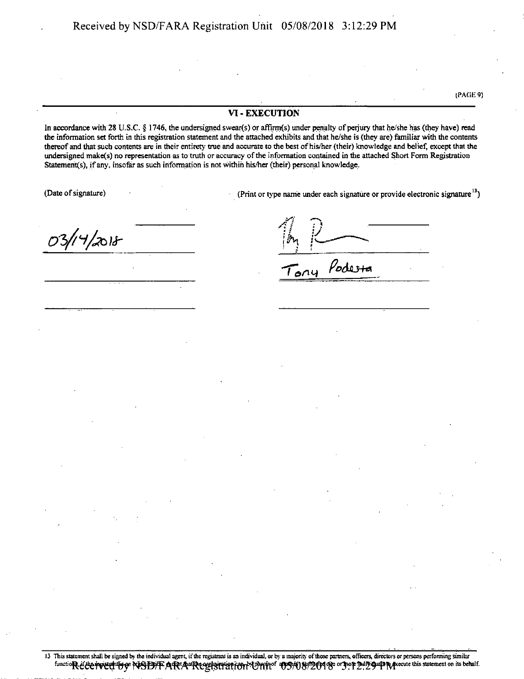VI - EXECUTION

In accordance with 28 U.S.C.  $\S$  1746, the undersigned swear(s) or affirm(s) under penalty of perjury that he/she has (they have) read the information set forth in this registration statement and the attached exhibits and that he/she is (they are) familiar with the contents thereof and that such contents are in their entirety true and accurate to the best of his/her (their) knowledge and belief, except that the undersigned make(s) no representation as to truth or accuracy of the information contained in the attached Short Form Registration **Statements), ifany, insofar as such information is not within his/her (their) personal knowledge.**

(Date of signature) **(Printiple 1)** (Print or type name under each signature or provide electronic signature<sup>13</sup>)

(PAGE 9)

*O'b/ll/jXj)\*-*

*A l i* r ; *\y*  $n_{u}$  *Podesta* 

<sup>13</sup> Thisstatementshall be signed by the individual agent, ifthe registrant is an individual, or by a majority ofthose partners, officers, directors or persons performing similar functioR & correct to profect to profect of PMA Recept in Reception and Control of Control of Consequent Statement on its behalf.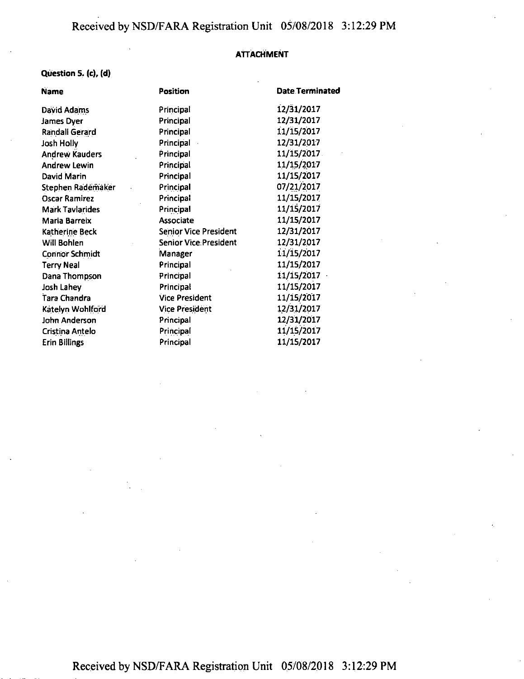#### **ATTACHMENT**

# Question 5. (c), (d)

| <b>Name</b>            | Position                      | Date Terminated |
|------------------------|-------------------------------|-----------------|
| David Adams            | Principal                     | 12/31/2017      |
| James Dyer             | Principal                     | 12/31/2017      |
| <b>Randall Gerard</b>  | Principal                     | 11/15/2017      |
| Josh Holly             | Principal                     | 12/31/2017      |
| <b>Andrew Kauders</b>  | Principal                     | 11/15/2017      |
| <b>Andrew Lewin</b>    | Principal                     | 11/15/2017      |
| David Marin            | Principal                     | 11/15/2017      |
| Stephen Rademaker      | Principal                     | 07/21/2017      |
| <b>Oscar Ramirez</b>   | Principal                     | 11/15/2017      |
| <b>Mark Tavlarides</b> | Principal                     | 11/15/2017      |
| <b>Maria Barreix</b>   | Associate                     | 11/15/2017      |
| Katherine Beck         | <b>Senior Vice President</b>  | 12/31/2017      |
| Will Bohlen            | <b>Senior Vice: President</b> | 12/31/2017      |
| <b>Connor Schmidt</b>  | Manager                       | 11/15/2017      |
| <b>Terry Neal</b>      | Principal                     | 11/15/2017      |
| Dana Thompson          | Principal                     | 11/15/2017      |
| Josh Lahey             | Principal                     | 11/15/2017      |
| Tara Chandra           | <b>Vice President</b>         | 11/15/2017      |
| Katelyn Wohlford       | <b>Vice President</b>         | 12/31/2017      |
| John Anderson          | Principal                     | 12/31/2017      |
| Cristina Antelo        | Principal                     | 11/15/2017      |
| <b>Erin Billings</b>   | Principal                     | 11/15/2017      |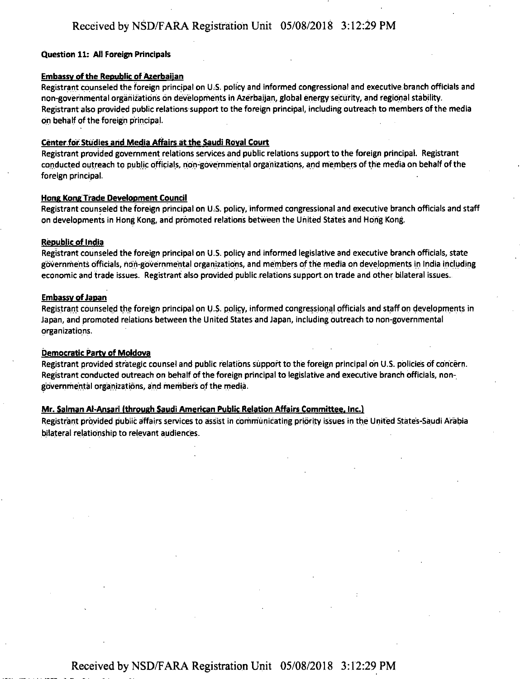#### **Question 11: All Foreign Principals**

#### **Embassy of the Republic of Azerbaijan**

Registrant counseled the foreign principal on U.S. policy and informed congressional and executive branch officials and non-governmental organizations on developments in Azerbaijan, global energy security, and regional stability. Registrant also provided public relations support to the foreign principal, including outreach to members of the media on behalf of the foreign principal.

#### **Center.for Studies and Media Affairs at the Saudi Royal Court**

Registrant provided government relations services and public relations support to the foreign principal. Registrant conducted outreach to public officials, non-governmental organizations, and members ofthe media on behalf ofthe foreign principal.

#### **Hone Kong Trade Development Council**

Registrant counseled the foreign principal on U.S. policy, informed congressional and executive branch officials and staff on developments in Hong Kong, and promoted relations between the United States and Hong Kong.

#### **Republic of India**

Registrant counseled the foreign principal on U.S. policy and informed legislative and executive branch officials, state governments officials, non-governmental organizations, and members ofthe media on developments in India including economic and trade issues. Registrant also provided public relations support on trade and other bilateral issues.

#### **Embassy of Japan**

Registrant counseled the foreign principal on U.S. policy, informed congressional officials and staff on developments in Japan, and promoted relations between the United States and Japan, including outreach to non-governmental organizations.

#### **Democratic Party of Moldova**

Registrant provided strategic counsel and public relations support to the foreign principal on U.S. policies of concern. Registrant conducted outreach on behalf of the foreign principal to legislative and executive branch officials, nongovernmental organizations, and members ofthe media.

#### **Mr. Salman Al-Ansari (through Saudi American Public Relation Affairs Committee. Inc.)**

Registrant provided public affairs services to assist in communicating priority issues in the United States-Saudi Arabia bilateral relationship to relevant audiences.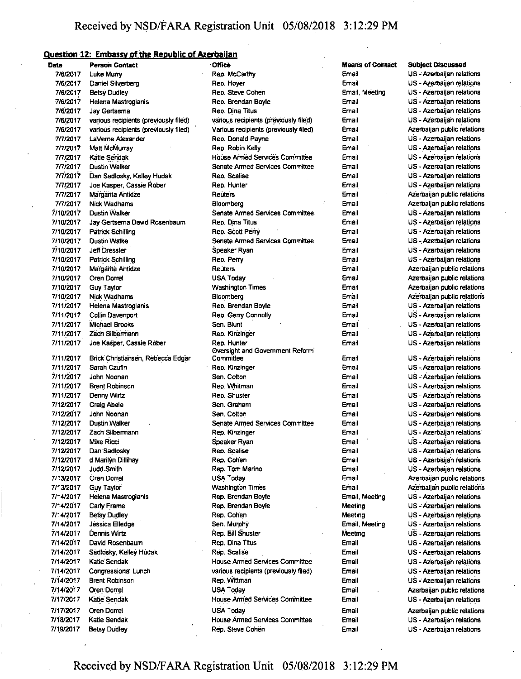# **Question 12: Embassy ofthe Republic of Azerbaijan**

| Date      | <b>Person Contact</b>                 | Office                                 | <b>Means of Contact</b> | <b>Subject Discussed</b>    |
|-----------|---------------------------------------|----------------------------------------|-------------------------|-----------------------------|
| 7/6/2017  | Luke Murry                            | Rep. McCartny                          | Email                   | US - Azerbaijan relations   |
| 7/6/2017  | Daniel Silverberg                     | Rep. Hoyer                             | Email                   | US - Azerbaijan relations   |
| 7/6/2017  | <b>Betsy Dudley</b>                   | Rep. Steve Cohen                       | Email, Meeting          | US - Azerbaijan relations   |
| 7/6/2017  | Helena Mastrogianis                   | Rep. Brendan Boyle                     | Email                   | US - Azerbaijan relations   |
| 7/6/2017  | Jay Gertsema                          | Rep. Dina Titus                        | Email                   | US - Azerbaijan relations   |
| 7/6/2017  | various recipients (previously filed) | various recipients (previously filed)  | Email                   | US - Azerbaijan relations   |
| 7/6/2017  | various recipients (previously filed) | Various recipients (previously filed)  | Email                   | Azerbaijan public relations |
| 7/7/2017  | LaVerne Alexander                     | Rep. Donald Payne                      | Email                   | US - Azerbaijan relations   |
| 7/7/2017  | Matt McMurray                         | Rep. Robin Kelly                       | Email                   | US - Azerbaijan relations   |
| 7/7/2017  | Katie Sendak                          | House Armed Services Committee         | Email                   | US - Azerbaijan relations   |
| 7/7/2017  | Dustin Walker                         | Senate Armed Services Committee        | Email                   | US - Azerbaijan relations   |
| 7/7/2017  | Dan Sadlosky, Keliey Hudak            | Rep. Scalise                           | Email                   | US - Azerbaijan relations   |
| 7/7/2017  | Joe Kasper, Cassie Rober              | Rep. Hunter                            | Email                   | US - Azerbaijan relations   |
| 7/7/2017  | Margarita Antidze                     | Reuters                                | Email                   | Azerbaijan public relations |
| 7/7/2017  | <b>Nick Wadhams</b>                   | Bloomberg                              | Email                   | Azerbaijan public relations |
| 7/10/2017 | Dustin Walker                         | Senate Armed Services Committee        | Email                   | US - Azerbaijan relations   |
| 7/10/2017 | Jay Gertsema David Rosenbaum          | Rep. Dina Titus                        | Email                   | US - Azerbaijan relations   |
| 7/10/2017 | Patrick Schilling                     | Rep. Scott Perry                       | Email                   | US - Azerbaijan relations   |
| 7/10/2017 | Dustin Walke                          | Senate Armed Services Committee        | Email                   | US - Azerbaljan relations   |
| 7/10/2017 | Jeff Dressler                         | Speaker Ryan                           | Email                   | US - Azerbaijan relations   |
| 7/10/2017 | <b>Patrick Schilling</b>              | Rep. Perry                             | Email                   | US - Azerbaijan relations   |
| 7/10/2017 | Margarita Antidze                     | Reuters                                | Email                   | Azerbaijan public relations |
| 7/10/2017 | Oren Dorrel                           | USA Today                              | Email                   | Azerbaijan public relations |
| 7/10/2017 | Guy Taylor                            | <b>Washington Times</b>                | Email                   | Azerbaijan public relations |
| 7/10/2017 | Nick Wadhams                          | Bloomberg                              | Email                   | Azerbaijan public relations |
| 7/11/2017 | Helena Mastrogianis                   | Rep. Brendan Boyle                     | Email                   | US - Azerbaijan relations   |
| 7/11/2017 | Collin Davenport                      | Rep. Gerry Connolly                    | Email                   | US - Azerbaijan relations   |
| 7/11/2017 | Michael Brooks                        | Sen. Blunt                             | Email                   | US - Azerbaijan relations   |
| 7/11/2017 | Zach Silbermann                       | Rep. Kinzinger                         | Email                   | US - Azerbaijan relations   |
| 7/11/2017 | Joe Kasper, Cassie Rober              | Rep. Hunter                            | Email                   | US - Azerbaijan relations   |
|           |                                       | Oversight and Government Reform        |                         |                             |
| 7/11/2017 | Brick Christiansen, Rebecca Edgar     | Committee                              | Email                   | US - Azerbaijan relations   |
| 7/11/2017 | Sarah Czufin                          | Rep. Kinzinger                         | Email                   | US - Azerbaijan relations   |
| 7/11/2017 | John Noonan                           | Sen. Cotton                            | Email                   | US - Azerbaijan relations   |
| 7/11/2017 | <b>Brent Robinson</b>                 | Rep. Whitman                           | Email                   | US - Azerbaijan relations   |
| 7/11/2017 | Denny Wirtz                           | Rep. Shuster                           | Email                   | US - Azerbaijan relations   |
| 7/12/2017 | Craig Abele                           | Sen. Graham                            | Email                   | US - Azerbaijan relations   |
| 7/12/2017 | John Noonan                           | Sen. Cotton                            | Email                   | US - Azerbaijan relations   |
| 7/12/2017 | Dustin Walker                         | <b>Senate Armed Services Committee</b> | Email                   | US - Azerbaijan relations   |
| 7/12/2017 | Zach Silbermann                       | Rep. Kinzinger                         | Email                   | US - Azerbaijan relations   |
| 7/12/2017 | <b>Mike Ricci</b>                     | Speaker Ryan                           | Email                   | US - Azerbaijan relations   |
| 7/12/2017 | Dan Sadlosky                          | Rep. Scalise                           | Email                   | US - Azerbaijan relations   |
| 7/12/2017 | d Marilyn Dillihay                    | Rep. Cohen                             | Email                   | US - Azerbaijan relations   |
| 7/12/2017 | Judd Smith                            | Rep. Tom Marino                        | Email                   | US - Azerbaijan relations   |
| 7/13/2017 | Oren Dorrel                           | USA Today                              | Email                   | Azerbaijan public relations |
| 7/13/2017 | Guy Taylor                            | <b>Washington Times</b>                | Email                   | Azerbaijan public relations |
| 7/14/2017 | Helena Mastrogianis                   | Rep. Brendan Boyle                     | Email, Meeting          | US - Azerbaijan relations   |
| 7/14/2017 | Carly Frame                           | Rep. Brendan Boyle                     | Meeting                 | US - Azerbaijan relations   |
| 7/14/2017 | <b>Betsy Dudley</b>                   | Rep. Cohen                             | Meeting                 | US - Azerbaijan relations   |
| 7/14/2017 | Jessica Elledge                       | Sen. Murphy                            | Email, Meeting          | US - Azerbaijan relations   |
| 7/14/2017 | Dennis Wirtz                          | Rep. Bill Shuster                      | Meeting                 | US - Azerbaijan relations   |
| 7/14/2017 | David Rosenbaum                       | Rep. Dina Titus                        | Email                   | US - Azerbaijan relations   |
| 7/14/2017 | Sadlosky, Kelley Hudak                | Rep. Scalise                           | Email                   | US - Azerbaijan relations   |
| 7/14/2017 | Katie Sendak                          | House Armed Services Committee         | Email                   | US - Azerbaijan relations   |
| 7/14/2017 | Congressional Lunch                   | various recipients (previously filed)  | Email                   | US - Azerbaijan relations   |
| 7/14/2017 | <b>Brent Robinson</b>                 | Rep. Wittman                           | Email                   | US - Azerbaijan relations   |
| 7/14/2017 | Oren Dorrel                           | USA Today                              | Email                   | Azerbaijan public relations |
| 7/17/2017 | Katie Sendak                          | House Armed Services Committee         | Email                   | US - Azerbaijan relations   |
| 7/17/2017 | Oren Dorrel                           | <b>USA Today</b>                       | Email                   | Azerbaijan public relations |
| 7/18/2017 | Katie Sendak                          | House Armed Services Committee         | Email                   | US - Azerbaijan relations   |
| 7/19/2017 | <b>Betsy Dudley</b>                   | Rep. Steve Cohen                       | Email                   | US - Azerbaijan relations   |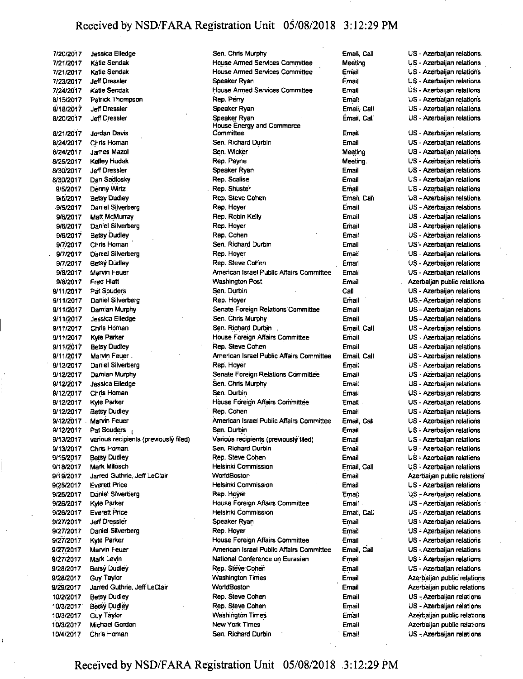7/20/2017 Jessica Elledge 7/21/2017 Katie Sendak 7/21/2017 Katie Sendak 7/23/2017 Jeff Dressier 7/24/2017 Katie Sendak 8/15/2017 Patrick Thompson 8/18/2017 Jeff Dressier 8/20/2017 Jeff Dressier 8/21/2017 Jordan Davis 8/24/2017 Chris Homan 8/24/2017 James Mazol 8/25/2017 Kelley Hudak 8/30/2017 Jeff Dressier 8/30/2017 Dan Satilosky 9/5/2017 Denny Wirtz 9/5/2017 Betsy Dudley 9/5/2017 Daniel Silverberg 9/6/2017 Matt McMurray 9/6/2017 Daniel Silverberg 9/6/2017 Betsy Dudley 9/7/2017 Chris Homan' 9/7/2017 Daniel Silverberg 9/7/2017 Betsy Dudley 9/8/2017 Marvin Feuer 9/8/2017 Fred Hiatt 9/11/2017 Pat Souders 9/11/2017 Daniel Silverberg 9/11/2017 Damian Murphy 9/11/2017 Jessica Elledge 9/11/2017 Chris Homan 9/11/2017 Kyle Parker 9/11/2017 Betsy Dudley 9/11/2017 Marvin Feuer. 9/12/2017 Daniel Silverberg 9/12/2017 Damian Murphy 9/12/2017 Jessica Elledge 9/12/2.017 Chris Homan 9/12/2017 Kyle Parker 9/12/2017 Betsy Dudley 9/12/2017 Marvin Feuer 9/12/2017 Pat Souders 9/13/2017 various recipients (previously filed) 9/13/2017 Chris Homan 9/15/2017 Betsy Dudley 9/18/2017 Mark Milosch 9/19/2017 Jarred Guthrie, Jeff LeClair 9/25/2017 Everett Price 9/26/2017 Daniel Silverberg 9/26/2017 Kyle Parker 9/26/2017 Everett Price 9/27/2017 Jeff Dressier 9/27/2017 Daniel Silverberg 9/27/2017 Kyle Parker 9/27/2017 Marvin Feuer 9/27/2017 Mark Levin 9/28/2017 Betsy Dudley 9/28/2017 Guy Taylor 9/29/2017 Jarred Guthrie, Jeff LeClair 10/2/2017 Betsy Dudley 10/3/2017 Betsy Dudley 10/3/2017 Guy Taylor 10/3/2017 Michael Gordon 10/4/2017 Chris Homan

Sen. Chris Murphy **Email**, Call House Armed Services Committee Meeting House Armed Services Committee Email Speaker Ryan **Email** House Armed Services Committee Email Rep. Perry **Email** Speaker Ryan **Email**, Call Speaker Ryan **Email**, Call House Energy and Commerce Committee **Email** Sen. Richard Durbin **Email** Sen. Wicker Meeting Rep. Payne Meeting Speaker Ryan **Email** Rep. Scalise Email Rep. Shuster **Email** Rep. Steve Cohen **Email**, Call Rep. Hoyer **Email** Rep. Robin Kelly **Email** Rep. Hoyer **Email** Rep. Cohen **Email** Sen. Richard Durbin **Email** Rep. Hoyer **Email** Rep. Steve Cohen . Email American Israel Public Affairs Committee Email Washington Post **Email** Sen. Durbin Call Rep. Hoyer **Email** Senate Foreign Relations Committee Email Sen. Chris Murphy **Email** Sen. Richard Durbin , Email, Call House Foreign Affairs Committee Email Rep. Steve Cohen **Email** American Israel Public Affairs Committee Email, Call Rep. Hoyer **Email** Senate Foreign Relations Committee Email Sen. Chris Murphy **Email** Sen, Durbin Email House Foreign Affairs Committee Email Rep. Cohen **Email** American Israel Public Affairs Committee Email, Call Sen. Durbin **Email** Various recipients (previously filed) Email Sen. Richard Durbin **Email** Rep. Steve Cohen **Email** Helsinki Commission Email, Call WorldBoston **Email** Helsinki Commission **Email** Rep. Hoyer **Email** House Foreign Affairs Committee Email Helsinki Commission **Email**, Call Speaker Ryan **Email** Rep. Hoyer Email House Foreign Affairs Committee **Email** American Israel Public Affairs Committee Email, Call National Conference on Eurasian Email Rep. Steve Cohen **Email** Washington Times **Email** WorldBoston **Email** Rep. Steve Cohen **Email** Rep. Steve Cohen **Email** Washington Times **Email** New York Times **Email** Sen. Richard Durbin **Email** 

US - Azerbaijan relations US - Azerbaijan relations US - Azerbaijan relations US - Azerbaijan relations US • Azerbaijan relations US - Azerbaijan relations US - Azerbaijan relations US - Azerbaijan relations US - Azerbaijan relations US - Azerbaijan relations US - Azerbaijan relations US - Azerbaijan relations US - Azerbaijan relations US • Azerbaijan relations US - Azerbaijan relations US • Azerbaijan relations US - Azerbaijan relations US - Azerbaijan relations US - Azerbaijan relations US - Azerbaijan relations US'- Azerbaijan relations US - Azerbaijan relations US - Azerbaijan relations US - Azerbaijan relations Azerbaijan public relations US - Azerbaijan relations US.- Azerbaijan relations US - Azerbaijan relations US - Azerbaijan relations US - Azerbaijan relations US - Azerbaijan relations US - Azerbaijan relations US - Azerbaijan relations US - Azerbaijan relations US - Azerbaijan relations US - Azerbaijan relations US - Azerbaijan relations US - Azerbaijan relations US - Azerbaijan relations US • Azerbaijan relations US - Azerbaijan relations US - Azerbaijan relations US - Azerbaijan relations US - Azerbaijan relations US - Azerbaijan relations Azerbaijan public relations US - Azerbaijan relations US - Azerbaijan relations US - Azerbaijan relation's US - Azerbaijan relations US - Azerbaijan relations US - Azerbaijan relations US - Azerbaijan relations US - Azerbaijan relations US - Azerbaijan relations US - Azerbaijan relations Azerbaijan public relations Azerbaijan public relations US - Azerbaijan relations US - Azerbaijan relations Azerbaijan public relations Azerbaijan public relations US - Azerbaijan relations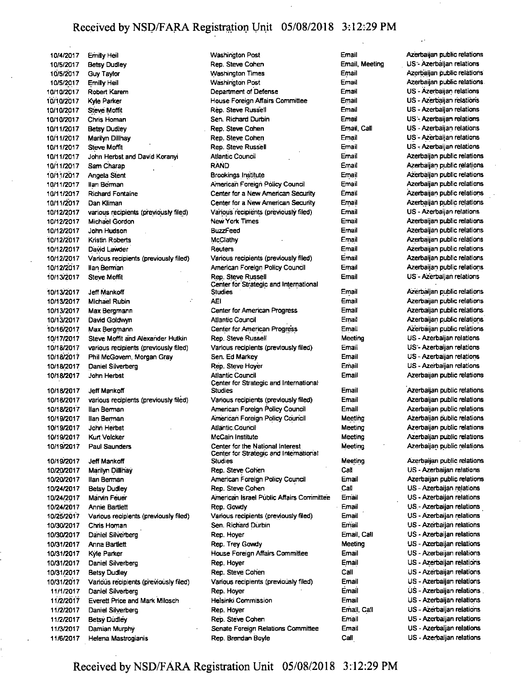10/4/2017 Emilly Heil 10/5/2017 Betsy Dudley 10/5/2017 Guy Taylor 10/5/2017 Emilly Heil 10/10/2017 Robert Karem 10/10/2017 Kyle Parker 10/10/2017 Steve Moffit 10/10/2017 Chris Homan 10/11/2017 Betsy Dudley 10/11/2017 Marilyn Dillhay 10/11/2017 Steve Moffit 10/11/2017 John Herbst and David Koranyi 10/11/2017 SamGharap 10/11/2017 Angela Stent 10/11/2017 **Ilan Berman** 10/11/2017 Richard Fontaine 10/11/2017 Dan Kliman 10/12/2017 various recipients (previously filed) 10/12/2017 Michael Gordon 10/12/2017 John Hudson 10/12/2017 Kristin Roberts 10/12/2017 David Lawder 10/12/2017 Various recipients (previously filed) 10/12/2017 llan Berman 10/13/2017 Steve Moffit 10/13/2017 JefTMankoff 10/13/2017 Michael Rubin 10/13/2017 MaxBergmann 10/13/2017 David Goldwyn 10/16/2017 MaxBergmann 10/17/2017 Steve Moffit arid Alexander Hutkin 10/10/2017 various recipients (previously filed) 10/18/2017 Phil McGovern, Morgan Gray 10/18/2017 Daniel Silyerberg 10/18/2017 John Herbst 10/16/2017 JefTMankoff 10/18/2017 various recipients (previously filed) 10/18/2017 llan Berman 10/19/2017 **Ilan Berman** 10/19/2017 John Herbst 10/19/2017 Kurt Volcker 10/19/2017 Paul Saunders 10/19/2017 JefTMankoff 10/20/2017 Marilyn Dillihay 10/20/2017 llan Berman 10/24/2017 Betsy Dudley 10/24/2017 Marvin Feuer 10/24/2017 Annie Bartlett 10/25/2017 Various recipients (previously filed) 10/30/2017 Chris Homan 10/30/2017 Daniel Silverberg 10/31/2017 Anna Bartlett 10/31/2017 Kyle Parker 10/31/2017 Daniel Silverberg 10/31/2017 Betsy Dudley 10/31/2017 Various recipients (previously filed) 11/1/2017 Daniel Silverberg 11/2/2017 Everett Price and Mark Milosch 11/2/2017 Daniel Silverberg 11/2/2017 Betey Dudley 11/3/2017 Damian Murphy

11/6/2017 Helena Mastrogianis

Washington Post Rep. Steve Cohen Washington Times Washington Post Department of Defense House Foreign Affairs Committee Rep. Steve Russell Sen. Richard Durbin Rep. Steve Cohen Rep. Steve Cohen Rep. Steve Russell Atlantic Council RAND Brookings Institute American Foreign Policy Council Center for a New American Security Center for a New American Security Various recipients (previously filed) New York Times BuzzFeed McClathy Reuters Various recipients (previously filed) American Foreign Policy Council Rep. Steve Russell Center for Strategic and International Studies AEI **Center for American Progress** Atlantic Council Center for American Progress Rep. Steve Russell Various recipients (previously filed) Sen. Ed Markey Rep. Steve Hoyer Atlantic Council Center for Strategic and International Studies Various recipients (previously filed) American Foreign Policy Council American Foreign Policy Council Atlantic Council McCain Institute Center for the National Interest Center for Strategic and International Studies Rep. Steve Cohen American Foreign Policy Coundl Rep. Steve Cohen Arnerican Israel Public Affairs Committee Rep. Gowdy Various recipients (previously filed) Sen. Richard Durbin Rep. Hoyer Rep. Trey Gowdy House Foreign Affairs Committee Rep. Hoyer Rep. Steve Cohen Various recipients (previously filed) Rep. Hoyer Helsinki Commission Rep. Hoyer Rep. Steve Cohen Senate Foreign Relations Committee Rep. Brendan Boyle Email Email, Meeting

Email Email Email Email Email Email Email. Call Email Email Email Email Email Email Email Email Email Email Email Email Email Email Email Email Email Email Email Email Email Meeting Email Email Email Email Email Email Email Meeting Meeting Meeting Meeting Meeting Call Email Call Email Email Email Email Email, Call Meeting Email Email Call Email Email Email Email, Call Email Email Call

US '- Azerbaijan relations Azerbaijan public relations Azerbaijan public relations US - Azerbaijan relations US - Azerbaijan relations US - Azerbaijan relations US'- Azerbaijan relations US - Azerbaijan relations US - Azerbaijan relations US - Azerbaijan relations Azerbaijan public relations Azerbaijan public relations Azerbaijan public relations Azerbaijan public relations Azerbaijan public relations Azerbaijan public relations US - Azerbaijan relations Azerbaijan public relations Azerbaijan public relations Azerbaijan public relations Azerbaijan public relations Azerbaijan public relations Azerbaijan public relations US - Azerbaijan relations Azerbaijan public relations

Azerbaijan public relations

Azerbaijan public relations Azerbaijan public relations Azerbaijan public relations Azerbaijan public relations US - Azerbaijan relations US'- Azerbaijan relations US - Azerbaijan relations US • Azerbaijan relations Azerbaijan public relations

Azerbaijan public relations Azerbaijan public relations Azerbaijan public relations Azerbaijan public relations Azerbaijan public relations Azerbaijan public relations Azerbaijan public relations

Azerbaijan public relations US • Azerbaijan relations Azerbaijan public relations US - Azerbaijan relations US - Azerbaijan relations US - Azerbaijan relations US - Azerbaijan relations US - Azerbaijan relations US - Azerbaijan relations US - Azerbaijan relations US - Azerbaijan relations US - Azerbaijan relations US - Azerbaijan relations US - Azerbaijan relations US - Azerbaijan relations US - Azerbaijan relations US - Azerbaijan relations US - Azerbaijan relations US - Azerbaijan relations US • Azerbaijan relations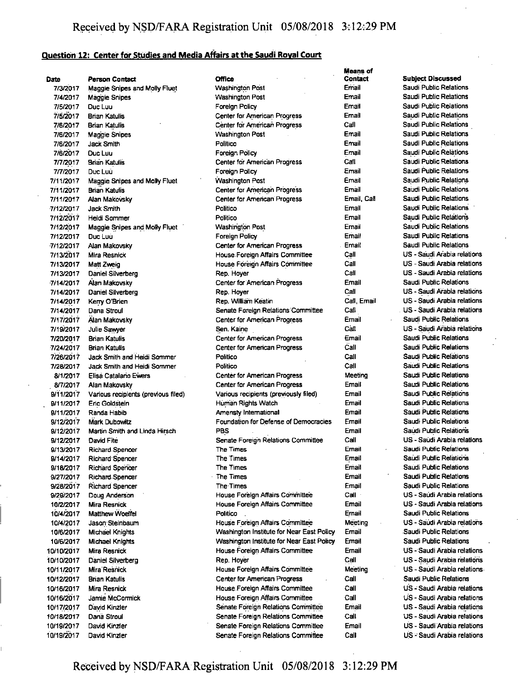## **Question 12; Center for Studies and Media Affairs atthe Saudi Roval Court**

|            |                                                       |                                           | Means of       |                             |
|------------|-------------------------------------------------------|-------------------------------------------|----------------|-----------------------------|
| Date       | <b>Person Contact</b>                                 | Office                                    | <b>Contact</b> | <b>Subject Discussed</b>    |
| 7/3/2017   | <b>Maggie Snipes and Molly Fluet</b>                  | <b>Wasnington Post</b>                    | Email          | Saudi Public Relations      |
| 7/4/2017   | <b>Maggie Snipes</b>                                  | <b>Washington Post</b>                    | Email          | Saudi Public Relations      |
| 7/5/2017   | Duc Luu                                               | Foreign Policy                            | Email          | Saudi Public Relations      |
| 7/5/2017   | <b>Brian Katulis</b>                                  | Center for American Progress              | Email          | Saudi Public Relations      |
| 7/6/2017   | Brian Katulis                                         | Center for American Progress              | Call           | Saudi Public Relations      |
| 7/6/2017   | Maggie Snipes                                         | <b>Washington Post</b>                    | Email          | Saudi Public Relations      |
| 7/6/2017   | Jack Smith                                            | Politico                                  | Email          | Saudi Public Relations      |
| 7/6/2017   | Duc Luu                                               | Foreign Policy                            | Email          | Saudi Public Relations      |
| 7/7/2017   | <b>Brian Katulis</b>                                  | Center for American Progress              | Call           | Saudi Public Relations      |
| 7/7/2017   | Duc Luù                                               | Foreign Policy                            | Email          | Saudi Public Relations      |
| 7/11/2017  |                                                       | <b>Washington Post</b>                    | Email          | Saudi Public Relations      |
|            | Maggie Snipes and Molly Fluet<br><b>Brian Katulis</b> |                                           | Email          | Saudi Public Relations      |
| 7/11/2017  |                                                       | Center for American Progress              |                | Saudi Public Relations      |
| 7/11/2017  | Alan Makovsky                                         | Center for American Progress              | Email Call     |                             |
| 7/12/2017  | <b>Jack Smith</b>                                     | Politico                                  | Email          | Saudi Public Relations      |
| 7/12/2017  | Heidi Sommer                                          | Politico                                  | Email          | Saudi Public Relations      |
| 7/12/2017  | Maggie Snipes and Molly Fluet                         | <b>Washington Post</b>                    | Email          | Saudi Public Relations      |
| 7/12/2017  | Duc Luu                                               | Foreign Policy                            | Email          | Saudi Public Relations      |
| 7/12/2017  | Alan Makovsky                                         | Center for American Progress              | Email          | Saudi Public Relations      |
| 7/13/2017  | Mira Resnick                                          | House Foreign Affairs Committee           | Call           | US - Saudi Arabia relations |
| 7/13/2017  | Matt Zweig                                            | House Foreign Affairs Committee           | Call           | US - Saudi Arabia relations |
| 7/13/2017  | Daniel Silverberg                                     | Rep. Hoyer                                | Call           | US - Saudi Arabia relations |
| 7/14/2017  | Alan Makovsky                                         | Center for American Progress              | Email          | Saudi Public Relations      |
| 7/14/2017  | Daniel Silverberg                                     | Rep. Hoyer                                | Call           | US - Saudi Arabia relations |
| 7/14/2017  | Kerry O'Brien                                         | Rep. William Keatin                       | Call, Email    | US - Saudi Arabia relations |
| 7/14/2017  | Dana Stroul                                           | Senate Foreign Relations Committee        | Cail           | US - Saudi Arabia relations |
| 7/17/2017  | Alan Makovsky                                         | Center for American Progress              | Email          | Saudi Public Relations      |
| 7/19/2017  | Julie Sawyer                                          | Sen. Kaine                                | Call           | US - Saudi Arabia relations |
| 7/20/2017  | <b>Brian Katulis</b>                                  | Center for American Progress              | Email          | Saudi Public Relations      |
|            |                                                       |                                           | Call           | Saudi Public Relations      |
| 7/24/2017  | <b>Brian Katulis</b>                                  | Center for American Progress              |                |                             |
| 7/26/2017  | Jack Smith and Heidi Sommer                           | Politico                                  | Call           | Saudi Public Relations      |
| 7/28/2017  | Jack Smith and Heidi Sommer                           | Politico                                  | Call           | Saudi Public Relations      |
| 8/1/2017   | Elisa Catalano Ewers                                  | Center for American Progress              | Meeting        | Saudi Public Relations      |
| 8/7/2017   | Alan Makovsky                                         | Center for American Progress              | Email          | Saudi Public Relations      |
| 9/11/2017  | Various recipients (previous filed)                   | Various recipients (previously filed)     | Email          | Saudi Public Relations      |
| 9/11/2017  | Eric Goldstein                                        | Human Rights Watch                        | Email          | Saudi Public Relations      |
| 9/11/2017  | Randa Habib                                           | Amensty International                     | Email          | Saudi Public Relations      |
| 9/12/2017  | <b>Mark Dubowitz</b>                                  | Foundation for Defense of Democracies     | Email          | Saudi Public Relations      |
| 9/12/2017  | Martin Smith and Linda Hirsch                         | PBS                                       | Email          | Saudi Public Relations      |
| 9/12/2017  | David Fite                                            | Senate Foreign Relations Committee        | Call           | US - Saudi Arabia relations |
| 9/13/2017  | Richard Spencer                                       | The Times                                 | Email          | Saudi Public Relations      |
| 9/14/2017  | <b>Richard Spencer</b>                                | The Times                                 | Email          | Saudi Public Relations      |
| 9/18/2017  | <b>Richard Spencer</b>                                | The Times                                 | Ernail         | Saudi Public Relations      |
| 9/27/2017  | <b>Richard Spencer</b>                                | The Times                                 | Email          | Saudi Public Relations      |
| 9/28/2017  | <b>Richard Spencer</b>                                | The Times                                 | Email          | Saudi Public Relations      |
| 9/29/2017  | Doug Anderson                                         | House Foreign Affairs Committee           | Call           | US - Saúdi Arabia relations |
| 10/2/2017  | Mira Resnick                                          | House Foreign Affairs Committee           | Ernail         | US - Saudi Arabia relations |
| 10/4/2017  | <b>Matthew Woelfel</b>                                | Politico                                  | Email          | Saudi Public Relations      |
| 10/4/2017  | Jason Steinbaum                                       | House Foreign Affairs Committee           | Meeting        | US - Saudi Arabia relations |
| 10/6/2017  | <b>Michael Knights</b>                                | Washington Institute for Near East Policy | Email          | Saudi Public Relations      |
| 10/6/2017  | <b>Michael Knights</b>                                | Washington Institute for Near East Policy | Email          | Saudi Public Relations      |
|            | Mira Resnick                                          | House Foreign Affairs Committee           | Email          | US - Saudi Arabia relations |
| 10/10/2017 |                                                       |                                           |                |                             |
| 10/10/2017 | Daniel Silverberg                                     | Rep. Hoyer                                | Call           | US - Saudi Arabia relations |
| 10/11/2017 | Mira Resnick                                          | House Foreign Affairs Committee           | Meeting        | US - Saudi Arabia relations |
| 10/12/2017 | <b>Brian Katulis</b>                                  | Center for American Progress              | Call           | Saudi Public Relations      |
| 10/16/2017 | Mira Resnick                                          | House Foreign Affairs Committee           | Call           | US - Saudi Arabia relations |
| 10/16/2017 | Jamie McCormick                                       | House Foreign Affairs Committee           | Call           | US - Saudi Arabia relations |
| 10/17/2017 | David Kinzler                                         | Senate Foreign Relations Committee        | Email          | US - Saudi Arabia relations |
| 10/18/2017 | Dana Stroul                                           | Senate Foreign Relations Committee        | Call           | US - Saudi Arabia relations |
| 10/19/2017 | David Kinzler                                         | Senate Foreign Relations Committee        | Email          | US - Saudi Arabia relations |
| 10/19/2017 | David Kinzler                                         | Senate Foreign Relations Committee        | Call           | US - Saudi Arabia relations |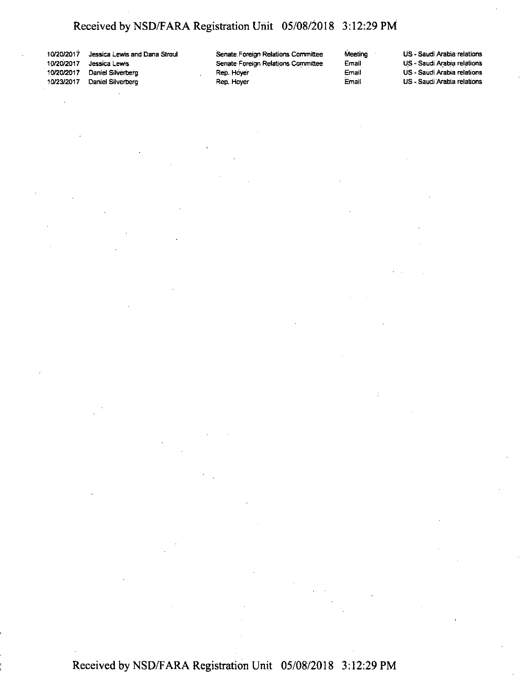10/20/2017 Jessica Lewis and Dana Stroul Jessica Lewis 10/20/2017 Daniel Silverberg Daniel Silverberg

 $\bar{z}$ 

Senate Foreign Relations Committee Senate Foreign Relations Committee Rep. Hoye'r Rep. Hoyer

Meeting US - Saudi Arabia relations Email US - Saudi Arabia relations Email US - Saudi Arabia relations US - Saudi Arabia relations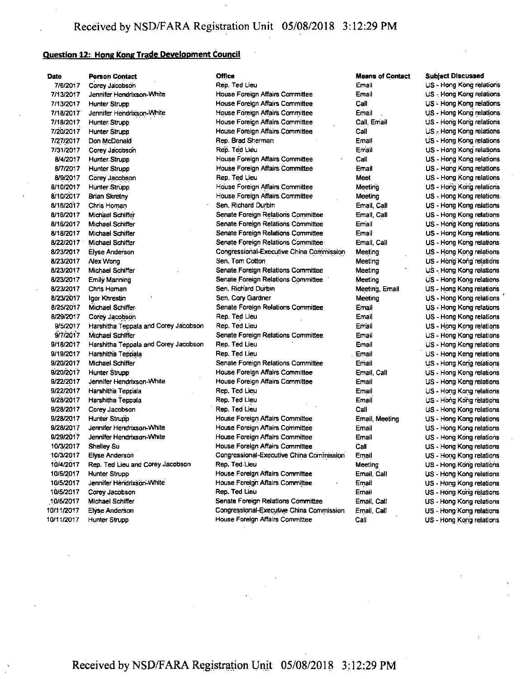# **Question 12; Hong Kong Trade Development Council**

| Date       | <b>Person Contact</b>                | <b>Office</b>                            | <b>Means of Contact</b> | <b>Subject Discussed</b>  |
|------------|--------------------------------------|------------------------------------------|-------------------------|---------------------------|
| 7/6/2017   | Corey Jacobson                       | Rep. Ted Lieu                            | Email                   | US - Hong Kong relations  |
| 7/13/2017  | Jennifer Hendrixson-White            | House Foreign Affairs Committee          | Email                   | US - Hong Kong relations  |
| 7/13/2017  | Hunter Strupp                        | House Foreign Affairs Committee          | Call                    | US - Hong Kong relations  |
| 7/18/2017  | Jennifer Hendrixson-White            | House Foreign Affairs Committee          | Email                   | US - Hong Kong relations  |
| 7/18/2017  | Hunter Strupp                        | House Foreign Affairs Committee          | Call, Email             | US - Hong Kong relations  |
| 7/20/2017  | Hunter Strupp                        | House Foreign Affairs Committee          | Call                    | US - Hong Kong relations  |
| 7/27/2017  | Don McDonald                         | Rep. Brad Sherman                        | Email                   | US - Hong Kong relations  |
| 7/31/2017  | Corey Jacobson                       | Rep. Ted Lieu                            | Email                   | US - Hong Kong relations  |
| 8/4/2017   | <b>Hunter Strupp</b>                 | House Foreign Affairs Committee          | Call                    | US - Hong Kong relations  |
| 8/7/2017   | <b>Hunter Strupp</b>                 | House Foreign Affairs Committee          | Email                   | US - Hong Kong relations  |
| 8/9/2017   | Corey Jacobson                       | Rep. Ted Lieu                            | <b>Meet</b>             | US - Hong Kong relations  |
| 8/10/2017  | Hunter Strupp.                       | House Foreign Affairs Committee          | Meeting                 | US - Hong Kong relations  |
| 8/10/2017  | <b>Brian Skretny</b>                 | House Foreign Affairs Committee          | Meeting                 | US-Hong Kong relations    |
| 8/16/2017  | Chris Homan                          | Sen. Richard Durbin                      | Email, Call             | US - Hong Kong relations  |
| 8/16/2017  | Michael Schiffer                     | Senate Foreign Relations Committee       | Email Call              | US - Hong Kong relations  |
| 8/16/2017  | Michael Schiffer                     | Senate Foreign Relations Committee       | Email                   | US - Hong Kong relations  |
| 8/18/2017  | Michael Schiffer                     | Senate Foreign Relations Committee       | Email                   | US - Hong Kong relations. |
| 8/22/2017  | Michael Schiffer                     | Senate Foreign Relations Committee       | Email Call              | US - Hong Kong relations  |
| 8/23/2017  | <b>Elyse Anderson</b>                | Congressional-Executive China Commission | Meeting                 | US - Hong Kong relations  |
| 8/23/2017  | Alex Wong                            | Sen. Tom Cotton                          | Meeting                 | US - Hong Kong relations  |
| 8/23/2017  | Michael Schiffer                     | Senate Foreign Relations Committee       | Meeting                 | US - Hong Kong relations  |
| 8/23/2017  | <b>Emily Manning</b>                 | Senate Foreign Relations Committee       | Meeting                 | US - Hong Kong relations  |
| 8/23/2017  | Chris Homan                          | Sen. Richard Durbin                      | Meeting, Email          | US - Hong Kong relations  |
| 8/23/2017  | Igor Khrestin                        | Sen. Cory Gardner                        | Meeting                 | US - Hong Kong relations  |
| 8/25/2017  | Michael Schiffer-                    | Senate Foreign Relations Committee       | Email                   | US - Hong Kong relations  |
| 8/29/2017  | Corey Jacobson                       | Rep. Ted Lieu                            | Email                   | US - Hong Kong relations  |
| 9/5/2017   | Harshitha Teppala and Corey Jacobson | Rep. Ted Lieu                            | Email                   | US - Hong Kong relations  |
| 9/7/2017   | Michael Schiffer                     | Senate Foreign Relations Committee       | Email                   | US - Hong Kong relations  |
| 9/18/2017  | Harshitha Teppala and Corey Jacobson | Rep. Ted Lieu                            | Email                   | US - Hong Kong relations  |
| 9/19/2017  | Harshitha Teppala                    | Rep. Ted Lieu                            | Email                   | US - Hong Kong relations  |
| 9/20/2017  | Michael Schiffer                     | Senate Foreign Relations Committee       | Email                   | US - Hong Kong relations  |
| 9/20/2017  | Hunter Strupp                        | House Foreign Affairs Committee          | Email Call              | US - Hong Kong relations  |
| 9/22/2017  | Jennifer Hendrixson-White            | House Foreign Affairs Committee          | Email                   | US - Hong Kong relations  |
| 9/22/2017  | Harshitha Teppala                    | Rep. Ted Lieu                            | Email                   | US - Hong Kong relations  |
| 9/28/2017  | Harshitha Teppala                    | Rep. Ted Lieu                            | Email                   | US - Hong Kong relations  |
| 9/28/2017  | Corey Jacobson                       | Rep. Ted Lieu                            | Call                    | US - Hong Kong relations  |
| 9/28/2017  | <b>Hunter Strupp</b>                 | House Foreign Affairs Committee          | Email Meeting           | US - Hong Kong relations  |
| 9/28/2017  | Jennifer Hendrixson-White            | House Foreign Affairs Committee          | Email                   | US - Hong Kong relations  |
| 9/29/2017  | Jennifer Hendrixson-White            | House Foreign Affairs Committee          | Email                   | US - Hong Kong relations  |
| 10/3/2017  | Shelley Su                           | House Foreign Affairs Committee          | Call                    | US - Hong Kong relations  |
| 10/3/2017  | Elyse Anderson                       | Congressional-Executive China Commission | Email                   | US - Hong Kong relations  |
| 10/4/2017  | Rep. Ted Lieu and Corey Jacobson     | Rep. Ted Lieu                            | Meeting                 | US - Hong Kong relations  |
| 10/5/2017  | <b>Hunter Strupp</b>                 | House Foreign Affairs Committee          | Email Call              | US - Hong Kong relations  |
| 10/5/2017  | Jennifer Hendrixson-White            | House Foreign Affairs Committee          | Email                   | US - Hong Kong relations  |
| 10/5/2017  | Corey Jacobson                       | Rep. Ted Lieu                            | Email                   | US - Hong Kong relations  |
| 10/5/2017  | Michael Schiffer                     | Senate Foreign Relations Committee       | Email, Call             | US - Hong Kong relations  |
| 10/11/2017 | <b>Elyse Anderson</b>                | Congressional-Executive China Commission | Email Call              | US - Hong Kong relations  |
| 10/11/2017 | Hunter Strupp                        | House Foreign Affairs Committee          | Call                    | US - Hong Kong relations  |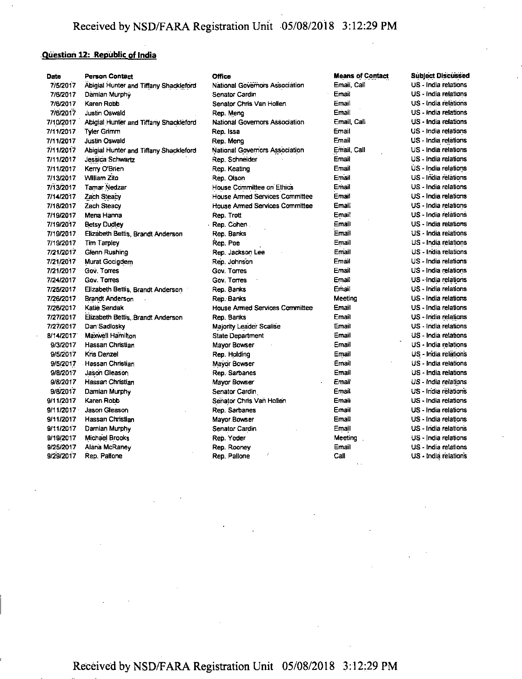## **Question 12: Republic of India**

| Date      | <b>Person Contact</b>                  | <b>Office</b>                         | <b>Means of Contact</b> | <b>Subject Discussed</b> |
|-----------|----------------------------------------|---------------------------------------|-------------------------|--------------------------|
| 7/5/2017  | Abigial Hunter and Tiffany Shackleford | National Governors Association        | Email Call              | US - India relations     |
| 7/6/2017  | Damian Murphy                          | Senator Cardin                        | Email                   | US - India relations     |
| 7/6/2017  | Karen Robb                             | Senator Chris Van Hollen              | Email                   | US - India relations     |
| 7/6/2017  | <b>Justin Oswald</b>                   | Rep. Meng                             | Email                   | US - India relations     |
| 7/10/2017 | Abigial Hunter and Tiffany Shackleford | National Governors Association        | Email, Call             | US - India relations     |
| 7/11/2017 | Tyler Grimm                            | Rep. Issa                             | Email                   | US - India relations     |
| 7/11/2017 | <b>Justin Oswald</b>                   | Rep. Meng                             | Email                   | US - India relations     |
| 7/11/2017 | Abigial Hunter and Tiffany Shackleford | National Governors Association        | Email, Call             | US - India relations     |
| 7/11/2017 | Jessica Schwartz                       | Rep. Schneider                        | Email                   | US - India relations     |
| 7/11/2017 | Kerry O'Brien                          | Rep. Keating                          | Email                   | US - India relations     |
| 7/13/2017 | <b>William Zito</b>                    | Rep. Olson                            | Email                   | US - India relations     |
| 7/13/2017 | <b>Tamar Nedzar</b>                    | House Committee on Ethics             | Email                   | US - India relations     |
| 7/14/2017 | <b>Zach Steacy</b>                     | <b>House Armed Services Committee</b> | Email                   | US - India relations     |
| 7/18/2017 | <b>Zach Steacy</b>                     | House Armed Services Committee        | Email                   | US - India relations     |
| 7/19/2017 | Mena Hanna                             | Rep. Trott                            | Email                   | US - India relations     |
| 7/19/2017 | <b>Betsy Dudley</b>                    | Rep. Cohen                            | Email                   | US - India relations     |
| 7/19/2017 | Elizabeth Bettis, Brandt Anderson      | Rep. Banks                            | Email                   | US - India relations     |
| 7/19/2017 | Tim Tarpley                            | Rep. Poe                              | Email                   | US - India relations     |
| 7/21/2017 | Glenn Rushing                          | Rep. Jackson Lee                      | Email                   | US - India relations     |
| 7/21/2017 | Murat Gocigdem                         | Rep. Johnson                          | Email                   | US - India relations     |
| 7/21/2017 | Gov. Torres                            | <b>Gov Torres</b>                     | Email                   | US - India relations     |
| 7/24/2017 | Gov. Torres                            | Gov. Torres                           | Email                   | US - India relations     |
| 7/25/2017 | Elizabeth Bettis, Brandt Anderson      | Rep. Banks                            | Email                   | US - India relations     |
| 7/26/2017 | <b>Brandt Anderson</b>                 | Rep. Banks                            | Meeting                 | US - India relations     |
| 7/26/2017 | Katie Sendak                           | <b>House Armed Services Committee</b> | Email                   | US - India relations     |
| 7/27/2017 | Elizabeth Bettis, Brandt Anderson      | Rep. Banks                            | Email                   | US - India relations     |
| 7/27/2017 | Dan Sadlosky                           | <b>Majority Leader Scalise</b>        | Email                   | US - India relations     |
| 8/14/2017 | Maxwell Hamilton                       | <b>State Department</b>               | Email                   | US - India relations     |
| 9/3/2017  | Hassan Christian                       | Mayor Bowser                          | Email                   | US - India relations     |
| 9/5/2017  | Kris Denzel                            | Rep. Holding                          | Email                   | US - India relations     |
| 9/5/2017  | Hassan Christian                       | Mayor Bowser                          | Email                   | US - India relations     |
| 9/8/2017  | Jason Gleason                          | Rep. Sarbanes                         | Email                   | US - India relations     |
| 9/8/2017  | Hassan Christian                       | Mayor Bowser                          | Email                   | US - India relations     |
| 9/8/2017  | Damian Murphy                          | Senator Cardin                        | Email                   | US - India relations     |
| 9/11/2017 | Karen Robb                             | Senator Chris Van Hollen              | Email                   | US - India relations     |
| 9/11/2017 | Jason Gleason                          | Rep. Sarbanes                         | Email                   | US - India relations     |
| 9/11/2017 | Hassan Christian                       | Mayor Bowser                          | Email                   | US - India relations     |
| 9/11/2017 | Damian Murphy                          | <b>Senator Cardin</b>                 | Email                   | US - India relations     |
| 9/19/2017 | <b>Michael Brooks</b>                  | Rep. Yoder                            | Meeting                 | US - India relations     |
| 9/25/2017 | Alana McRaney                          | Rep. Rooney                           | Email                   | US - India relations     |
| 9/29/2017 | Rep. Pallone                           | Rep. Pallone                          | Call                    | US - India relations     |
|           |                                        |                                       |                         |                          |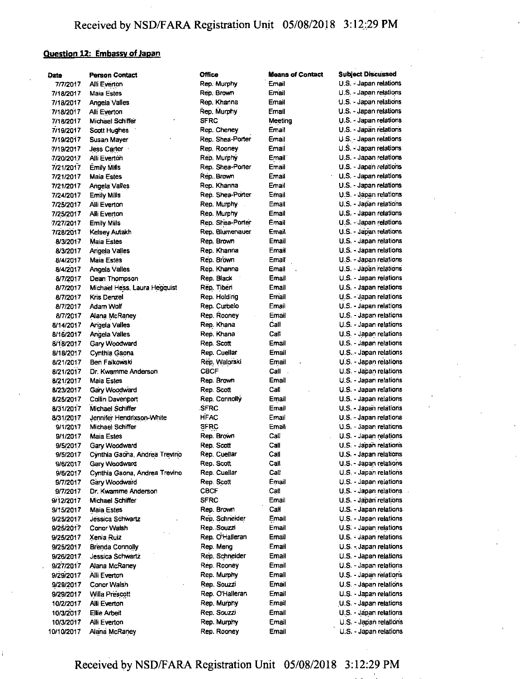# **Question 12: Embassy of Japan**

| Date       | <b>Person Contact</b>         | <b>Office</b>    | <b>Means of Contact</b> | <b>Subject Discussed</b>                         |
|------------|-------------------------------|------------------|-------------------------|--------------------------------------------------|
| 7/7/2017   | Alli Everton                  | Rep. Murphy      | Email                   | U.S. - Japan relations                           |
| 7/18/2017  | Maia Estes                    | Rep. Brown       | Email                   | U.S. - Japan relations                           |
| 7/18/2017  | Angela Valles                 | Rep. Khanna      | Email                   | U.S. - Japan relations                           |
| 7/18/2017  | Alli Everton                  | Rep. Murphy      | Email                   | U.S. - Japan relations                           |
| 7/18/2017  | Michael Schiffer              | <b>SFRC</b>      | Meeting                 | U.S. - Japan relations                           |
| 7/19/2017  | Scott Hughes                  | Rep. Cheney      | Email                   | U.S. - Japan relations                           |
| 7/19/2017  | Susan Mayer                   | Rep. Shea-Porter | Email                   | U.S. - Japan relations                           |
| 7/19/2017  | Jess Carter                   | Rep. Rooney      | Email                   | U.S. - Japan relations                           |
| 7/20/2017  | Alli Everton                  | Rep. Murphy      | Email                   | U.S. - Japan relations                           |
| 7/21/2017  | <b>Emily Mills</b>            | Rep. Shea-Porter | Email                   | U.S. - Japan relations                           |
| 7/21/2017  | Maia Estes                    | Rep. Brown       | Email                   | U.S. - Japan relations                           |
| 7/21/2017  | Angela Valles                 | Rep. Khanna      | Email                   | U.S. - Japan relations                           |
| 7/24/2017  | Emily Mills                   | Rep. Shea-Porter | Email                   | U.S. - Japan relations                           |
| 7/25/2017  | Alli Everton                  | Rep. Murphy      | Email                   | U.S. - Japan relations                           |
|            | Alli Everton                  | Rep. Murphy      | Email                   | U.S. - Japan relations                           |
| 7/25/2017  |                               | Rep. Shea-Porter | Email                   | U.S. - Japan relations                           |
| 7/27/2017  | Emily Mills                   | Rep. Blumenauer  | Email                   | U.S. - Japan relations                           |
| 7/28/2017  | Keisey Autakh                 |                  | Email                   |                                                  |
| 8/3/2017   | Maia Estes                    | Rep. Brown       | Email                   | U.S. - Japan relations<br>U.S. - Japan relations |
| 8/3/2017   | Angela Valles                 | Rep. Khanna      |                         |                                                  |
| 8/4/2017   | Maia Estes                    | Rep. Brown       | Email                   | U.S. - Japan relations                           |
| 8/4/2017   | Angela Valles                 | Rep. Khanna      | Email                   | U.S. - Japan relations                           |
| 8/7/2017   | Dean Thompson                 | Rep. Black       | Email                   | U.S. - Japan relations                           |
| 8/7/2017   | Michael Hess, Laura Hegquist  | Rep. Tiberi      | Email                   | U.S. - Japan relations                           |
| 8/7/2017   | Kris Denzel                   | Rep. Holding     | Email                   | U.S. - Japan relations                           |
| 8/7/2017   | Adam Wolf                     | Rep. Curbelo     | Email                   | U.S. - Japan relations                           |
| 8/7/2017   | Alana McRaney                 | Rep. Rooney      | Email                   | U.S. - Japan relations                           |
| 8/14/2017  | Angela Valles                 | Rep. Khana       | Call                    | U.S. - Japan relations                           |
| 8/16/2017  | Angela Valles                 | Rep. Khana       | Call                    | U.S. - Japan relations                           |
| 8/18/2017  | Gary Woodward                 | Rep. Scott       | Email                   | U.S. - Japan relations                           |
| 8/18/2017  | Cynthia Gaona                 | Rep. Cuellar     | Email                   | U.S. - Japan relations                           |
| 8/21/2017  | Ben Falkowski                 | Rep. Walorski    | Email                   | U.S. - Japan relations                           |
| 8/21/2017  | Dr. Kwamme Anderson           | <b>CBCF</b>      | Call                    | U.S. - Japan relations                           |
| 8/21/2017  | Maia Estes                    | Rep. Brown       | Email                   | U.S. - Japan relations                           |
| 8/23/2017  | Gary Woodward                 | Rep. Scott       | Call                    | U.S. - Japan relations                           |
| 8/25/2017  | Collin Davenport              | Rep. Connolly    | Email                   | U.S. - Japan relations                           |
| 8/31/2017  | Michael Schiffer              | <b>SFRC</b>      | Email                   | U.S. - Japan relations                           |
| 8/31/2017  | Jennifer Hendrixson-White     | <b>HFAC</b>      | Email                   | U.S. - Japan relations                           |
| 9/1/2017   | Michael Schiffer              | <b>SFRC</b>      | Email                   | U.S. - Japan relations                           |
| 9/1/2017   | Maia Estes                    | Rep. Brown       | Call                    | U.S. - Japan relations                           |
| 9/5/2017   | Gary Woodward                 | Rep. Scott       | Call                    | U.S. - Japan relations                           |
| 9/5/2017   | Cynthia Gaona, Andrea Trevino | Rep. Cuellar     | Call                    | U.S. - Japan relations                           |
| 9/6/2017   | Gary Woodward                 | Rep. Scott       | Call                    | U.S. - Japan relations                           |
| 9/6/2017   | Cynthia Gaona, Andrea Trevino | Rep. Cuellar     | Call                    | U.S. - Japan relations                           |
| 9/7/2017   | Gary Woodward                 | Rep. Scott       | Email                   | U.S. - Japan relations                           |
| 9/7/2017   | Dr. Kwamme Anderson           | <b>CBCF</b>      | Call                    | U.S. - Japan relations                           |
| 9/12/2017  | Michael Schiffer              | <b>SFRC</b>      | Email                   | U.S. - Japan relations                           |
| 9/15/2017  | <b>Maia Estes</b>             | Rep. Brown       | Call                    | U.S. - Japan relations.                          |
| 9/25/2017  | Jessica Schwartz              | Rep. Schneider   | Email                   | U.S. - Japan relations                           |
| 9/25/2017  | Conor Walsh                   | Rep. Souzzi      | Email                   | U.S. - Japan relations                           |
| 9/25/2017  | Xenia Ruiz                    | Rep. O'Halleran  | Email                   | $U.S. - Japan$ relations                         |
| 9/25/2017  | <b>Brenda Connolly</b>        | Rep. Meng        | Email                   | U.S. - Japan relations                           |
| 9/26/2017  | Jessica Schwartz              | Rep. Schneider   | <b>Email</b>            | U.S. - Japan relations                           |
| 9/27/2017  | Alana McRaney                 | Rep. Rooney      | Ernail                  | U.S. - Japan relations                           |
| 9/29/2017  | Alli Everton                  | Rep. Murphy      | Email                   | U.S. - Japan relations                           |
| 9/29/2017  | Conor Walsh                   | Rep. Souzzi      | Email                   | U.S. - Japan relations                           |
| 9/29/2017  | Willa Prescott                | Rep. O'Halleran  | Email                   | U.S. - Japan relations                           |
| 10/2/2017  | Alli Everton                  | Rep. Murphy      | Email                   | U.S. - Japan relations                           |
| 10/3/2017  | Ellie Arbeit                  | Rep. Souzzi      | Email                   | U.S. - Japan relations                           |
| 10/3/2017  | Alli Everton                  | Rep. Murphy      | Email                   | U.S. - Japan relations                           |
| 10/10/2017 | Alana McRaney                 | Rep. Rooney      | Email                   | U.S. - Japan relations                           |
|            |                               |                  |                         |                                                  |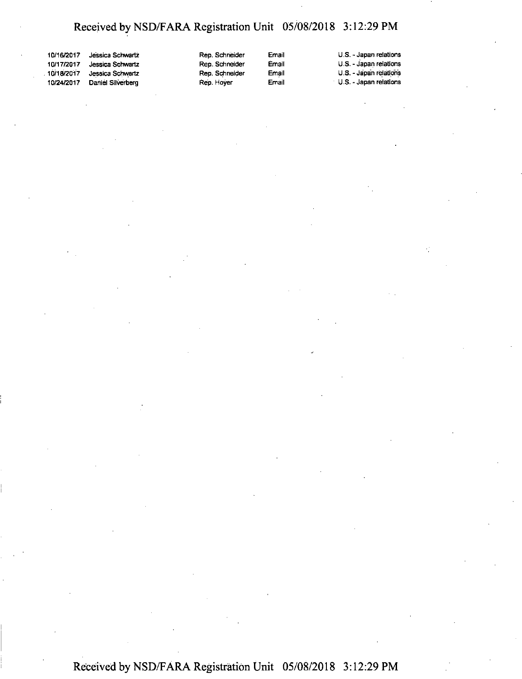| 10/16/2017  | Jessica Schwartz  | Ré |
|-------------|-------------------|----|
| 10/17/2017  | Jessica Schwartz  | Re |
| .10/18/2017 | Jessica Schwartz  | Re |
| 10/24/2017  | Daniel Silverberg | Re |

ep. Schneider ep. Schneider ep. Schneider Rep. Hoyer

Email Email Email Email

U.S. - Japan relations U.S. - Japan relations U.S. - Japan relations U.S. - Japan relations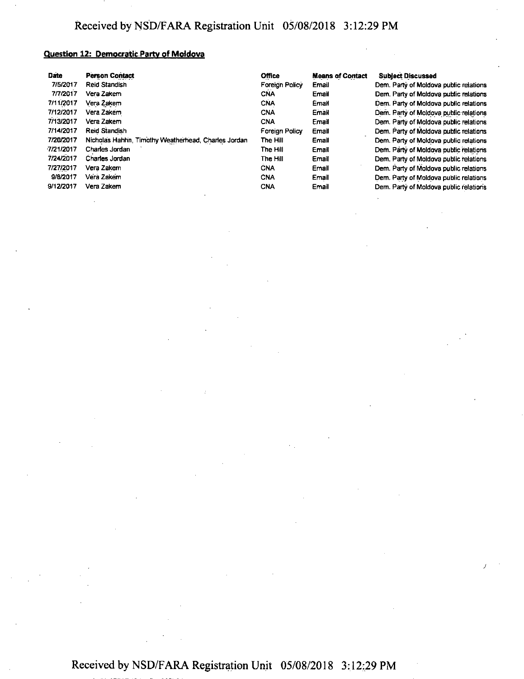## **Question 12: Democratic Party of Moldova**

| Date      | <b>Person Contact</b>                               | <b>Office</b>  | <b>Means of Contact</b> | <b>Subject Discussed</b>               |
|-----------|-----------------------------------------------------|----------------|-------------------------|----------------------------------------|
| 7/5/2017  | <b>Reid Standish</b>                                | Foreign Policy | Email                   | Dem. Party of Moldova public relations |
| 7/7/2017  | Vera Zakem                                          | <b>CNA</b>     | Email                   | Dem. Party of Moldova public relations |
| 7/11/2017 | Vera Zakem                                          | <b>CNA</b>     | Email                   | Dem. Party of Moldova public relations |
| 7/12/2017 | Vera Zakem                                          | <b>CNA</b>     | Email                   | Dem. Party of Moldova public relations |
| 7/13/2017 | Vera Zakem                                          | <b>CNA</b>     | Email                   | Dem. Party of Moldova public relations |
| 7/14/2017 | Reid Standish                                       | Foreign Policy | Email                   | Dem. Party of Moldova public relations |
| 7/20/2017 | Nicholas Hahhn, Timothy Weatherhead, Charles Jordan | The Hill       | Email                   | Dem. Party of Moldova public relations |
| 7/21/2017 | Charles Jordan                                      | The Hill       | Email                   | Dem. Party of Moldova public relations |
| 7/24/2017 | Charles Jordan                                      | The Hill       | Email                   | Dem. Party of Moldova public relations |
| 7/27/2017 | Vera Zakem                                          | <b>CNA</b>     | Email                   | Dem. Party of Moldova public relations |
| 9/8/2017  | Vera Zakem                                          | <b>CNA</b>     | Email                   | Dem. Party of Moldova public relations |
| 9/12/2017 | Vera Zakem                                          | <b>CNA</b>     | Email                   | Dem. Party of Moldova public relations |

Received by NSD/FARA Registration Unit 05/08/2018 3:12:29 PM

*j*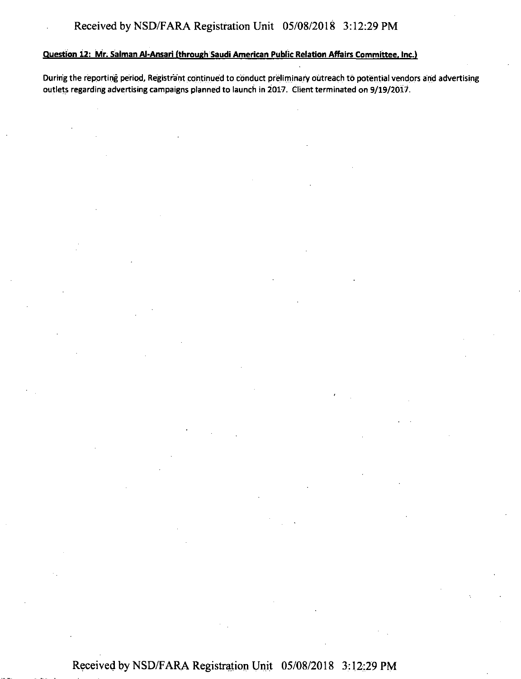### Question 12: Mr. Salman Al-Ansari (through Saudi American Public Relation Affairs Committee, Inc.l

During the reporting period, Registrant continued to conduct preliminary outreach to potential vendors and advertising outlets regarding advertising campaigns planned to launch in 2017. Client terminated on 9/19/2017.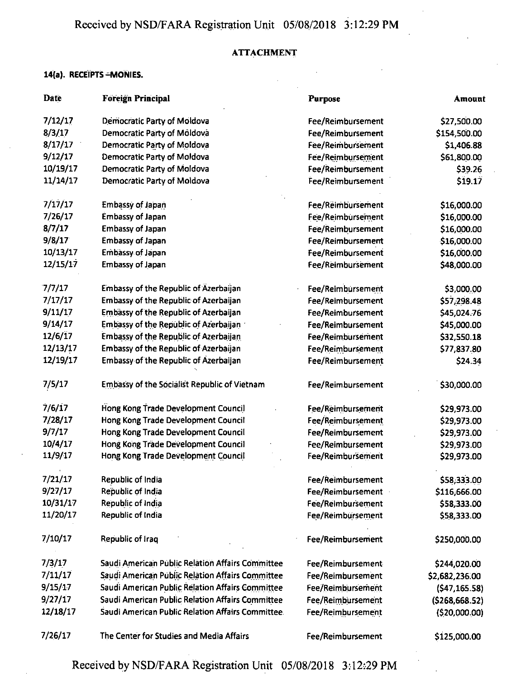# ATTACHMENT

# **14(a). RECEIPTS -MONIES.**

| Date     | <b>Foreign Principal</b>                                | <b>Purpose</b>    | Amount         |
|----------|---------------------------------------------------------|-------------------|----------------|
| 7/12/17  | Democratic Party of Moldova                             | Fee/Reimbursement | \$27,500.00    |
| 8/3/17   | Democratic Party of Moldova                             | Fee/Reimbursement | \$154,500.00   |
| 8/17/17  | Democratic Party of Moldova                             | Fee/Reimbursement | \$1,406.88     |
| 9/12/17  | Democratic Party of Moldova                             | Fee/Reimbursement | \$61,800.00    |
| 10/19/17 | Democratic Party of Moldova                             | Fee/Reimbursement | \$39.26        |
| 11/14/17 | Democratic Party of Moldova                             | Fee/Reimbursement | \$19.17        |
| 7/17/17  | <b>Embassy of Japan</b>                                 | Fee/Reimbursement | \$16,000.00    |
| 7/26/17  | <b>Embassy of Japan</b>                                 | Fee/Reimbursement | \$16,000.00    |
| 8/7/17   | <b>Embassy of Japan</b>                                 | Fee/Reimbursement | \$16,000.00    |
| 9/8/17   | <b>Embassy of Japan</b>                                 | Fee/Reimbursement | \$16,000.00    |
| 10/13/17 | <b>Embassy of Japan</b>                                 | Fee/Reimbursement | \$16,000.00    |
| 12/15/17 | <b>Embassy of Japan</b>                                 | Fee/Reimbursement | \$48,000.00    |
| 7/7/17   | Embassy of the Republic of Azerbaijan                   | Fee/Reimbursement | \$3,000.00     |
| 7/17/17  | Embassy of the Republic of Azerbaijan                   | Fee/Reimbursement | \$57,298.48    |
| 9/11/17  | <b>Embassy of the Republic of Azerbaijan</b>            | Fee/Reimbursement | \$45,024.76    |
| 9/14/17  | Embassy of the Republic of Azerbaijan                   | Fee/Reimbursement | \$45,000.00    |
| 12/6/17  | <b>Embassy of the Republic of Azerbaijan</b>            | Fee/Reimbursement | \$32,550.18    |
| 12/13/17 | Embassy of the Republic of Azerbaijan                   | Fee/Reimbursement | \$77,837.80    |
| 12/19/17 | <b>Embassy of the Republic of Azerbaijan</b>            | Fee/Reimbursement | \$24.34        |
| 7/5/17   | <b>Embassy of the Socialist Republic of Vietnam</b>     | Fee/Reimbursement | \$30,000.00    |
| 7/6/17   | Hong Kong Trade Development Council                     | Fee/Reimbursement | \$29,973.00    |
| 7/28/17  | Hong Kong Trade Development Council                     | Fee/Reimbursement | \$29,973.00    |
| 9/7/17   | Hong Kong Trade Development Council                     | Fee/Reimbursement | \$29,973.00    |
| 10/4/17  | Hong Kong Träde Development Council                     | Fee/Reimbursement | \$29,973.00    |
| 11/9/17  | Hong Kong Trade Development Council                     | Fee/Reimbursement | \$29,973.00    |
| 7/21/17  | Republic of India                                       | Fee/Reimbursement | \$58,333.00    |
| 9/27/17  | Republic of India                                       | Fee/Reimbursement | \$116,666.00   |
| 10/31/17 | Republic of India                                       | Fee/Reimbursement | \$58,333.00    |
| 11/20/17 | Republic of India                                       | Fee/Reimbursement | \$58,333.00    |
| 7/10/17  | Republic of Iraq                                        | Fee/Reimbursement | \$250,000.00   |
| 7/3/17   | Saudi American Public Relation Affairs Committee        | Fee/Reimbursement | \$244,020.00   |
| 7/11/17  | Saudi American Public Relation Affairs Committee        | Fee/Reimbursement | \$2,682,236.00 |
| 9/15/17  | <b>Saudi American Public Relation Affairs Committee</b> | Fee/Reimbursement | (547, 165.58)  |
| 9/27/17  | Saudi American Public Relation Affairs Committee        | Fee/Reimbursement | (5268, 668.52) |
| 12/18/17 | Saudi American Public Relation Affairs Committee.       | Fee/Reimbursement | (520,000.00)   |
| 7/26/17  | The Center for Studies and Media Affairs                | Fee/Reimbursement | \$125,000.00   |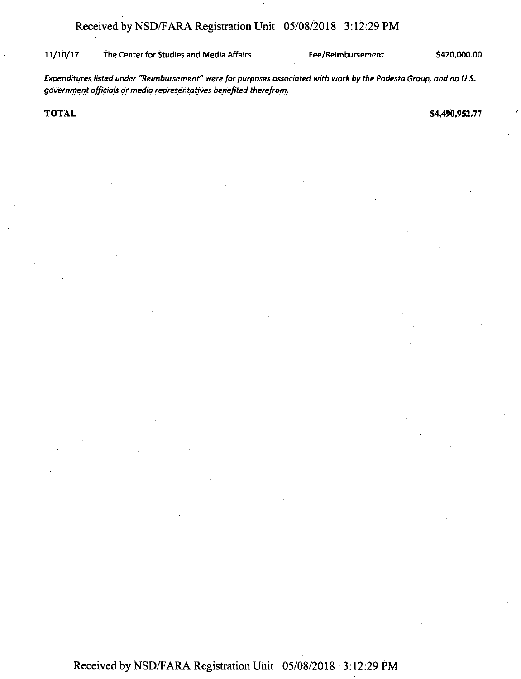#### 11/10/17 The Center for Studies and Media Affairs Fee/Reimbursement \$420,000.00

*Expenditureslisted under "Reimbursement" were forpurposes associated with work by the Podesta Group, and no U.S.. government officials ormedia representatives benefited therefrom.*

**TOTAL** \$4,490,952.77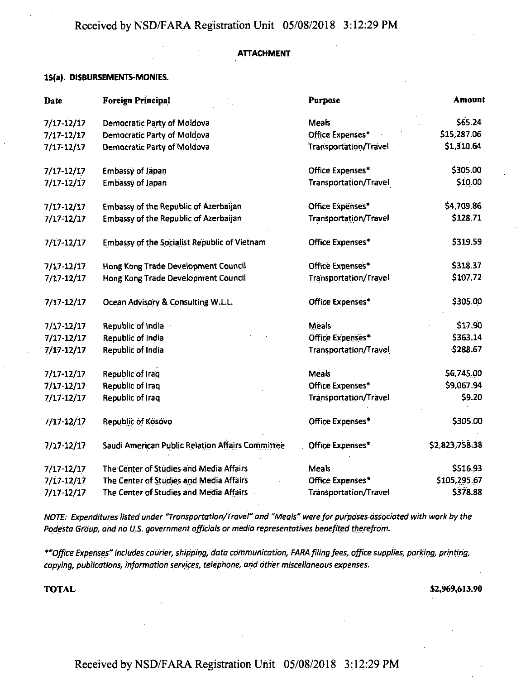#### **ATTACHMENT**

#### **15(a). DISBURSEMENTS-MONIES.**

| Date           | <b>Foreign Principal</b>                         | Purpose                      | Amount         |
|----------------|--------------------------------------------------|------------------------------|----------------|
| $7/17 - 12/17$ | Democratic Party of Moldova                      | Meals                        | S65.24         |
| $7/17 - 12/17$ | Democratic Party of Moldova                      | Office Expenses*             | \$15,287.06    |
| 7/17-12/17     | Democratic Party of Moldova                      | Transportation/Travel        | \$1,310.64     |
| $7/17 - 12/17$ | Embassy of Jäpan                                 | Office Expenses*             | \$305.00       |
| $7/17 - 12/17$ | <b>Embassy of Japan</b>                          | Transportation/Travel        | \$10.00        |
| $7/17 - 12/17$ | Embassy of the Republic of Azerbaijan            | Office Expenses*             | \$4,709.86     |
| $7/17 - 12/17$ | <b>Embassy of the Republic of Azerbaijan</b>     | Transportation/Travel        | \$128.71       |
| $7/17 - 12/17$ | Embassy of the Socialist Republic of Vietnam     | Office Expenses*             | \$319.59       |
| 7/17-12/17     | Hong Kong Trade Development Council              | Office Expenses*             | \$318.37       |
| $7/17 - 12/17$ | Hong Kong Trade Development Council              | <b>Transportation/Travel</b> | \$107.72       |
| $7/17 - 12/17$ | Ocean Advisory & Consulting W.L.L.               | Office Expenses*             | \$305.00       |
| $7/17 - 12/17$ | Republic of India                                | <b>Meals</b>                 | \$17.90        |
| $7/17 - 12/17$ | Republic of India                                | <b>Office Expenses*</b>      | \$363.14       |
| 7/17-12/17     | Republic of India                                | Transportation/Travel        | \$288.67       |
| $7/17 - 12/17$ | Republic of Iraq                                 | <b>Meals</b>                 | \$6,745.00     |
| 7/17-12/17     | Republic of iraq                                 | Office Expenses*             | \$9,067.94     |
| 7/17 12/17     | Republic of Iraq                                 | Transportation/Travel        | \$9.20         |
| $7/17 - 12/17$ | Republic of Kosovo                               | Office Expenses*             | \$305.00       |
| 7/17-12/17     | Saudi American Public Relation Affairs Committee | Office Expenses*             | \$2,823,758.38 |
| $7/17 - 12/17$ | The Center of Studies and Media Affairs          | Meals                        | \$516.93       |
| $7/17 - 12/17$ | The Center of Studies and Media Affairs          | Office Expenses*             | \$105,295.67   |
| 7/17 12/17     | The Center of Studies and Media Affairs          | <b>Transportation/Travel</b> | \$378.88       |

*NOTE: Expenditures listed under "Transportation/Travel" and "Meats" wereforpurposes associated with work by the Podesta Group, and no U.S. government officials or media representatives benefited therefrom.*

*\*"Office Expenses" includes courier, shipping, data communication, FARA filingfees, office supplies, parking, printing, copying, publications, information services, telephone, arid other miscellaneous expenses.*

TOTAL **\$2,969,613.90**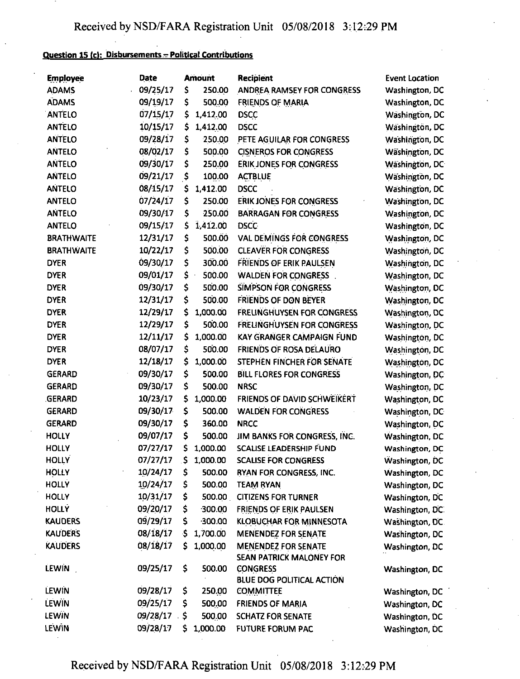## **Question IS** *ic\:* **Disbursements-Political Contributions**

| <b>Employee</b>   | <b>Date</b> |     | <b>Amount</b> | <b>Recipient</b>                  | <b>Event Location</b> |
|-------------------|-------------|-----|---------------|-----------------------------------|-----------------------|
| <b>ADAMS</b>      | 09/25/17    | \$  | 250.00        | ANDREA RAMSEY FOR CONGRESS        | Washington, DC        |
| <b>ADAMS</b>      | 09/19/17    | \$  | 500.00        | <b>FRIENDS OF MARIA</b>           | Washington, DC        |
| <b>ANTELO</b>     | 07/15/17    | \$  | 1,412.00      | <b>DSCC</b>                       | Washington, DC        |
| <b>ANTELO</b>     | 10/15/17    | \$  | 1,412.00      | <b>DSCC</b>                       | Wäshingtön, DC        |
| <b>ANTELO</b>     | 09/28/17    | \$  | 250.00        | PETE AGUILAR FOR CONGRESS         | Washington, DC        |
| <b>ANTELO</b>     | 08/02/17    | \$  | 500.00        | <b>CISNEROS FOR CONGRESS</b>      | Washington, DC        |
| <b>ANTELO</b>     | 09/30/17    | \$  | 250.00        | <b>ERIK JONES FOR CONGRESS</b>    | Wäshington, DC        |
| <b>ANTELO</b>     | 09/21/17    | \$  | 100.00        | <b>ACTBLUE</b>                    | Wäshington, DC        |
| <b>ANTELO</b>     | 08/15/17    | \$  | 1,412.00      | <b>DSCC</b>                       | Washington, DC        |
| <b>ANTELO</b>     | 07/24/17    | \$  | 250.00        | <b>ERIK JONES FOR CONGRESS</b>    | Washington, DC        |
| <b>ANTELO</b>     | 09/30/17    | \$  | 250.00        | <b>BARRAGAN FOR CONGRESS</b>      | Washington, DC        |
| <b>ANTELO</b>     | 09/15/17    | \$  | 1,412.00      | <b>DSCC</b>                       | Washington, DC        |
| <b>BRATHWAITE</b> | 12/31/17    | Ş   | 500.00        | <b>VAL DEMINGS FOR CONGRESS</b>   | Washington, DC        |
| <b>BRATHWAITE</b> | 10/22/17    | \$  | 500.00        | <b>CLEAVER FOR CONGRESS</b>       | Washington, DC        |
| <b>DYER</b>       | 09/30/17    | \$  | 300.00        | <b>FRIENDS OF ERIK PAULSEN</b>    | Washington, DC        |
| <b>DYER</b>       | 09/01/17    | \$  | 500.00        | <b>WALDEN FOR CONGRESS</b>        | Washington, DC        |
| <b>DYER</b>       | 09/30/17    | \$  | 500.00        | SIMPSON FOR CONGRESS              | Washington, DC        |
| <b>DYER</b>       | 12/31/17    | \$  | 500.00        | <b>FRIENDS OF DON BEYER</b>       | Washington, DC        |
| <b>DYER</b>       | 12/29/17    | \$  | 1,000.00      | <b>FRELINGHUYSEN FOR CONGRESS</b> | Washington, DC        |
| <b>DYER</b>       | 12/29/17    | \$  | 500.00        | <b>FRELINGHUYSEN FOR CONGRESS</b> | Washington, DC        |
| <b>DYER</b>       | 12/11/17    | \$  | 1,000.00      | KAY GRANGER CAMPAIGN FUND         | Washington, DC        |
| <b>DYER</b>       | 08/07/17    | \$  | 500.00        | FRIENDS OF ROSA DELAURO           | Washington, DC        |
| <b>DYER</b>       | 12/18/17    | \$  | 1,000.00      | STEPHEN FINCHER FOR SENATE        | Washington, DC        |
| <b>GERARD</b>     | 09/30/17    | \$  | 500.00        | BILL FLORES FOR CONGRESS          | Washington, DC        |
| <b>GERARD</b>     | 09/30/17    | \$  | 500.00        | <b>NRSC</b>                       | Washington, DC        |
| <b>GERARD</b>     | 10/23/17    | \$  | 1,000.00      | FRIENDS OF DAVID SCHWEIKERT       | Washington, DC        |
| <b>GERARD</b>     | 09/30/17    | \$  | 500.00        | <b>WALDEN FOR CONGRESS</b>        | Washington, DC        |
| <b>GERARD</b>     | 09/30/17    | \$  | 360.00        | <b>NRCC</b>                       | Washington, DC        |
| <b>HOLLY</b>      | 09/07/17    | \$  | 500.00        | JIM BANKS FOR CONGRESS, INC.      | Washington, DC        |
| <b>HOLLY</b>      | 07/27/17    | \$  | 1,000.00      | <b>SCALISE LEADERSHIP FUND</b>    | Washington, DC        |
| <b>HOLLY</b>      | 07/27/17    |     | \$1,000.00    | <b>SCALISE FOR CONGRESS</b>       | Washington, DC        |
| <b>HOLLY</b>      | 10/24/17    | \$  | 500.00        | RYAN FOR CONGRESS, INC.           | Washington, DC        |
| <b>HOLLY</b>      | 10/24/17    | \$  | 500.00        | <b>TEAM RYAN</b>                  | Washington, DC        |
| <b>HOLLY</b>      | 10/31/17    | Ş   | 500.00        | <b>CITIZENS FOR TURNER</b>        | Washington, DC        |
| <b>HOLLY</b>      | 09/20/17    | \$  | 300.00        | <b>FRIENDS OF ERIK PAULSEN</b>    | Washington, DC.       |
| <b>KAUDERS</b>    | 09/29/17    | \$  | 300.00        | KLOBUCHAR FOR MINNESOTA           | Washington, DC        |
| <b>KAUDERS</b>    | 08/18/17    | \$  | 1,700.00      | <b>MENENDEZ FOR SENATE</b>        | Washington, DC        |
| <b>KAUDERS</b>    | 08/18/17    | \$  | 1,000.00      | <b>MENENDEZ FOR SENATE</b>        |                       |
|                   |             |     |               | SEAN PATRICK MALONEY FOR          | Washington, DC        |
| <b>LEWIN</b>      | 09/25/17    | \$  | 500.00        | <b>CONGRESS</b>                   | Washington, DC        |
|                   |             |     |               | <b>BLUE DOG POLITICAL ACTION</b>  |                       |
| <b>LEWIN</b>      | 09/28/17    | \$  | 250.00        | <b>COMMITTEE</b>                  | Washington, DC        |
| LEWIN             | 09/25/17    | \$  | 500.00        | <b>FRIENDS OF MARIA</b>           | Washington, DC        |
| LEWIN             | 09/28/17    | \$. | 500.00        | <b>SCHATZ FOR SENATE</b>          | Washington, DC        |
| LEWIN             | 09/28/17    | \$  | 1,000.00      | <b>FUTURE FORUM PAC</b>           | Washington, DC        |
|                   |             |     |               |                                   |                       |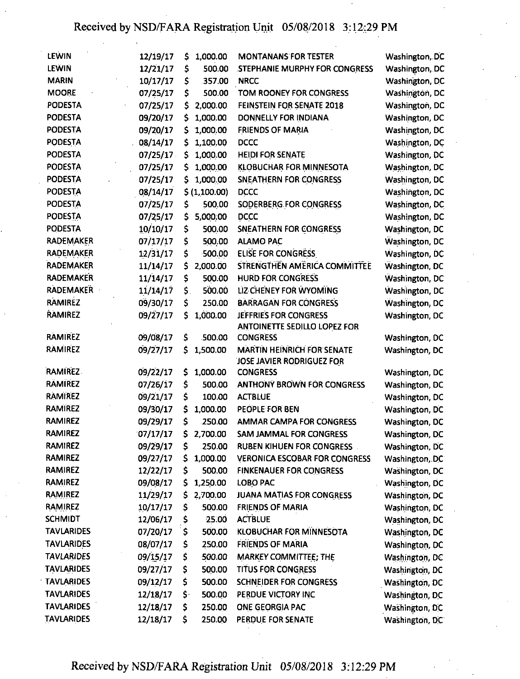| LEWIN             | 12/19/17 | \$  | 1,000.00     | <b>MONTANANS FOR TESTER</b>                                    | Washington, DC |
|-------------------|----------|-----|--------------|----------------------------------------------------------------|----------------|
| <b>LEWIN</b>      | 12/21/17 | \$  | 500.00       | STEPHANIE MURPHY FOR CONGRESS                                  | Washington, DC |
| <b>MARIN</b>      | 10/17/17 | \$  | .357.00      | <b>NRCC</b>                                                    | Washington, DC |
| <b>MOORE</b>      | 07/25/17 | \$  | 500.00       | TOM ROONEY FOR CONGRESS                                        | Washington, DC |
| <b>PODESTA</b>    | 07/25/17 | Ş   | 2,000.00     | FEINSTEIN FOR SENATE 2018                                      | Washington, DC |
| <b>PODESTA</b>    | 09/20/17 | \$  | 1,000.00     | DONNELLY FOR INDIANA                                           | Washington, DC |
| <b>PODESTA</b>    | 09/20/17 | \$  | 1,000.00     | <b>FRIENDS OF MARIA</b>                                        | Washington, DC |
| <b>PODESTA</b>    | 08/14/17 | \$  | 1,100.00     | <b>DCCC</b>                                                    | Washington, DC |
| <b>PODESTA</b>    | 07/25/17 | \$  | 1,000.00     | <b>HEIDI FOR SENATE</b>                                        | Washington, DC |
| <b>PODESTA</b>    | 07/25/17 | \$  | 1,000.00     | KLOBUCHAR FOR MINNESOTA                                        | Washington, DC |
| <b>PODESTA</b>    | 07/25/17 | \$. | 1,000,00     | <b>SNEATHERN FOR CONGRESS</b>                                  | Washington, DC |
| <b>PODESTA</b>    | 08/14/17 |     | \$(1,100.00) | <b>DCCC</b>                                                    | Washington, DC |
| <b>PODESTA</b>    | 07/25/17 | \$  | 500.00       | SODERBERG FOR CONGRESS                                         | Washington, DC |
| <b>PODESTA</b>    | 07/25/17 | \$  | 5,000.00     | <b>DCCC</b>                                                    | Washington, DC |
| <b>PODESTA</b>    | 10/10/17 | \$  | 500.00       | SNEATHERN FOR CONGRESS                                         | Washington, DC |
| <b>RADEMAKER</b>  | 07/17/17 | \$  | 500.00       | <b>ALAMO PAC</b>                                               | Washington, DC |
| <b>RADEMAKER</b>  | 12/31/17 | \$  | $-500.00$    | ELISE FOR CONGRESS                                             | Washington, DC |
| <b>RADEMAKER</b>  | 11/14/17 | \$  | 2,000.00     | STRENGTHEN AMERICA COMMITTEE                                   | Washington, DC |
| <b>RADEMAKER</b>  | 11/14/17 | \$  | 500.00       | <b>HURD FOR CONGRESS</b>                                       | Washington, DC |
| <b>RADEMAKER</b>  | 11/14/17 | \$. | 500.00       | LIZ CHENEY FOR WYOMING                                         | Washington, DC |
| <b>RAMIREZ</b>    | 09/30/17 | \$  | 250.00       | <b>BARRAGAN FOR CONGRESS</b>                                   | Washington, DC |
| RAMIREZ           | 09/27/17 | \$  | 1,000.00     | JEFFRIES FOR CONGRESS                                          | Washington, DC |
|                   |          |     |              | <b>ANTOINETTE SEDILLO LOPEZ FOR</b>                            |                |
| <b>RAMIREZ</b>    | 09/08/17 | \$  | 500.00       | <b>CONGRESS</b>                                                | Washington, DC |
| <b>RAMIREZ</b>    | 09/27/17 | \$  | 1,500.00     | <b>MARTIN HEINRICH FOR SENATE</b><br>JOSE JAVIER RODRIGUEZ FOR | Washington, DC |
| <b>RAMIREZ.</b>   | 09/22/17 | \$  | 1,000.00     | <b>CONGRESS</b>                                                | Washington, DC |
| <b>RÄMIREZ</b>    | 07/26/17 | \$  | 500.00       | <b>ANTHONY BROWN FOR CONGRESS</b>                              | Washington, DC |
| <b>RAMIREZ</b>    | 09/21/17 | \$  | 100.00       | <b>ACTBLUE</b>                                                 | Washington, DC |
| <b>RAMIREZ</b>    | 09/30/17 | \$  | 1,000.00     | PEOPLE FOR BEN                                                 | Washington, DC |
| <b>RAMIREZ</b>    | 09/29/17 | \$  | 250.00       | <b>AMMAR CAMPA FOR CONGRESS</b>                                | Washington, DC |
| <b>RAMIREZ</b>    | 07/17/17 | \$  | 2,700.00     | <b>SAM JAMMAL FOR CONGRESS</b>                                 | Washington, DC |
| RAMIREZ           | 09/29/17 | \$  | .250.00      | <b>RUBEN KIHUEN FOR CONGRESS.</b>                              | Washington, DC |
| <b>RAMIREZ</b>    | 09/27/17 | \$  | 1,000.00     | <b>VERONICA ESCOBAR FOR CONGRESS</b>                           | Washington, DC |
| <b>RAMIREZ</b>    | 12/22/17 | \$  | 500.00       | <b>FINKENAUER FOR CONGRESS</b>                                 | Washington, DC |
| <b>RAMIREZ</b>    | 09/08/17 | Ş   | 1,250.00     | <b>LOBO PAC</b>                                                | Washington, DC |
| <b>RAMIREZ</b>    | 11/29/17 | S   | 2,700.00     | JUANA MATIAS FOR CONGRESS                                      | Washington, DC |
| RAMIREZ           | 10/17/17 | \$  | 500.00       | <b>FRIENDS OF MARIA</b>                                        | Washington, DC |
| <b>SCHMIDT</b>    | 12/06/17 | \$  | 25.00        | <b>ACTBLUE</b>                                                 | Washington, DC |
| <b>TAVLARIDES</b> | 07/20/17 | \$  | 500.00       | <b>KLOBUCHAR FOR MINNESOTA</b>                                 | Washington, DC |
| <b>TAVLARIDES</b> | 08/07/17 | Ş   | 250.00       | <b>FRIENDS OF MARIA</b>                                        | Washington, DC |
| <b>TAVLARIDES</b> | 09/15/17 | \$  | $-500.00$    | MARKEY COMMITTEE; THE                                          | Washington, DC |
| <b>TAVLARIDES</b> | 09/27/17 | \$  | 500.00       | TITUS FOR CONGRESS                                             | Washington, DC |
| <b>TAVLARIDES</b> | 09/12/17 | \$  | 500.00       | <b>SCHNEIDER FOR CONGRESS</b>                                  | Washington, DC |
| <b>TAVLARIDES</b> | 12/18/17 | \$. | 500.00       | PERDUE VICTORY INC                                             | Washington, DC |
| <b>TAVLARIDES</b> | 12/18/17 | \$  | 250.00       | ONE GEORGIA PAC                                                | Washington, DC |
| <b>TAVLARIDES</b> | 12/18/17 | \$  | 250.00       | PERDUE FOR SENATE                                              | Washington, DC |